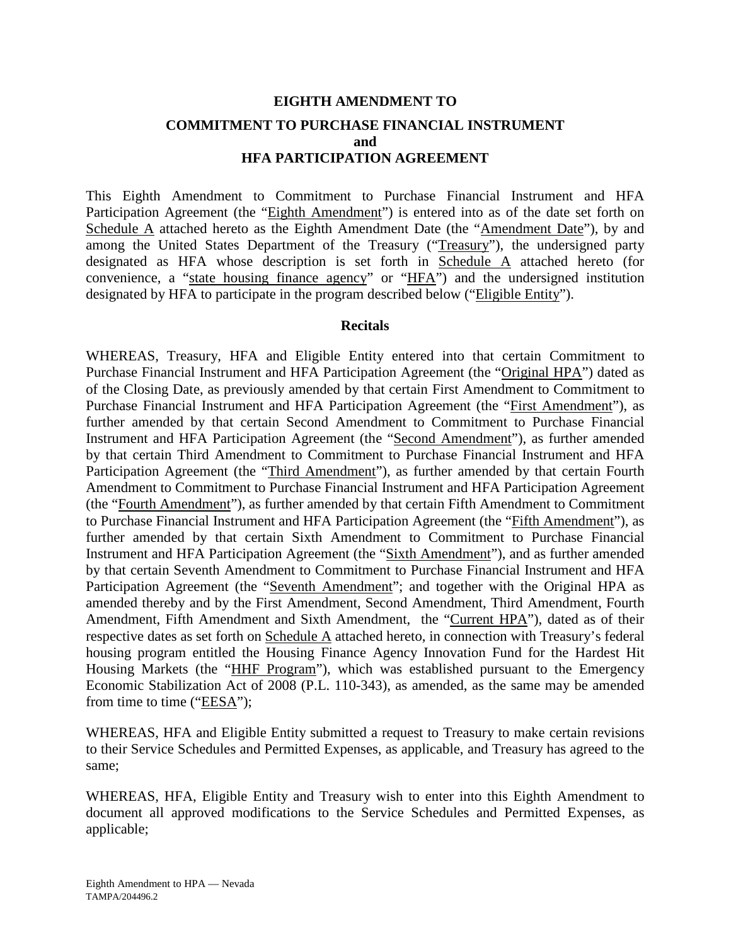# **EIGHTH AMENDMENT TO COMMITMENT TO PURCHASE FINANCIAL INSTRUMENT and HFA PARTICIPATION AGREEMENT**

This Eighth Amendment to Commitment to Purchase Financial Instrument and HFA Participation Agreement (the "Eighth Amendment") is entered into as of the date set forth on Schedule A attached hereto as the Eighth Amendment Date (the "Amendment Date"), by and among the United States Department of the Treasury ("Treasury"), the undersigned party designated as HFA whose description is set forth in Schedule A attached hereto (for convenience, a "state housing finance agency" or "HFA") and the undersigned institution designated by HFA to participate in the program described below ("Eligible Entity").

#### **Recitals**

WHEREAS, Treasury, HFA and Eligible Entity entered into that certain Commitment to Purchase Financial Instrument and HFA Participation Agreement (the "Original HPA") dated as of the Closing Date, as previously amended by that certain First Amendment to Commitment to Purchase Financial Instrument and HFA Participation Agreement (the "First Amendment"), as further amended by that certain Second Amendment to Commitment to Purchase Financial Instrument and HFA Participation Agreement (the "Second Amendment"), as further amended by that certain Third Amendment to Commitment to Purchase Financial Instrument and HFA Participation Agreement (the "Third Amendment"), as further amended by that certain Fourth Amendment to Commitment to Purchase Financial Instrument and HFA Participation Agreement (the "Fourth Amendment"), as further amended by that certain Fifth Amendment to Commitment to Purchase Financial Instrument and HFA Participation Agreement (the "Fifth Amendment"), as further amended by that certain Sixth Amendment to Commitment to Purchase Financial Instrument and HFA Participation Agreement (the "Sixth Amendment"), and as further amended by that certain Seventh Amendment to Commitment to Purchase Financial Instrument and HFA Participation Agreement (the "Seventh Amendment"; and together with the Original HPA as amended thereby and by the First Amendment, Second Amendment, Third Amendment, Fourth Amendment, Fifth Amendment and Sixth Amendment, the "Current HPA"), dated as of their respective dates as set forth on Schedule A attached hereto, in connection with Treasury's federal housing program entitled the Housing Finance Agency Innovation Fund for the Hardest Hit Housing Markets (the "HHF Program"), which was established pursuant to the Emergency Economic Stabilization Act of 2008 (P.L. 110-343), as amended, as the same may be amended from time to time ("EESA");

WHEREAS, HFA and Eligible Entity submitted a request to Treasury to make certain revisions to their Service Schedules and Permitted Expenses, as applicable, and Treasury has agreed to the same;

WHEREAS, HFA, Eligible Entity and Treasury wish to enter into this Eighth Amendment to document all approved modifications to the Service Schedules and Permitted Expenses, as applicable;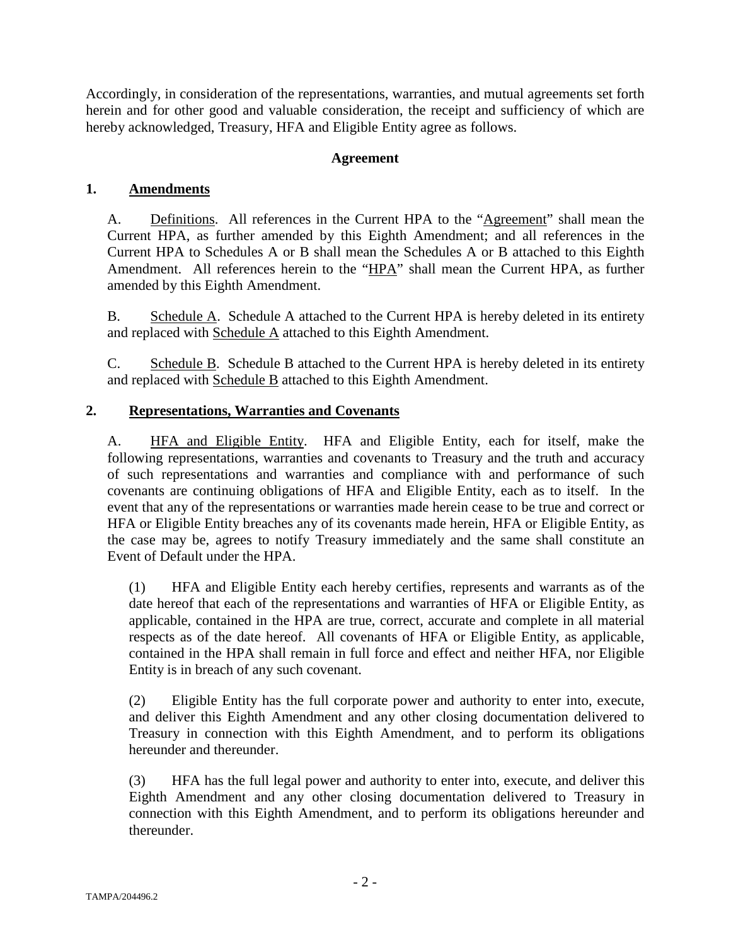Accordingly, in consideration of the representations, warranties, and mutual agreements set forth herein and for other good and valuable consideration, the receipt and sufficiency of which are hereby acknowledged, Treasury, HFA and Eligible Entity agree as follows.

## **Agreement**

# **1. Amendments**

A. Definitions. All references in the Current HPA to the "Agreement" shall mean the Current HPA, as further amended by this Eighth Amendment; and all references in the Current HPA to Schedules A or B shall mean the Schedules A or B attached to this Eighth Amendment. All references herein to the "HPA" shall mean the Current HPA, as further amended by this Eighth Amendment.

B. Schedule A. Schedule A attached to the Current HPA is hereby deleted in its entirety and replaced with Schedule A attached to this Eighth Amendment.

C. Schedule B. Schedule B attached to the Current HPA is hereby deleted in its entirety and replaced with Schedule B attached to this Eighth Amendment.

# **2. Representations, Warranties and Covenants**

A. HFA and Eligible Entity. HFA and Eligible Entity, each for itself, make the following representations, warranties and covenants to Treasury and the truth and accuracy of such representations and warranties and compliance with and performance of such covenants are continuing obligations of HFA and Eligible Entity, each as to itself. In the event that any of the representations or warranties made herein cease to be true and correct or HFA or Eligible Entity breaches any of its covenants made herein, HFA or Eligible Entity, as the case may be, agrees to notify Treasury immediately and the same shall constitute an Event of Default under the HPA.

(1) HFA and Eligible Entity each hereby certifies, represents and warrants as of the date hereof that each of the representations and warranties of HFA or Eligible Entity, as applicable, contained in the HPA are true, correct, accurate and complete in all material respects as of the date hereof. All covenants of HFA or Eligible Entity, as applicable, contained in the HPA shall remain in full force and effect and neither HFA, nor Eligible Entity is in breach of any such covenant.

(2) Eligible Entity has the full corporate power and authority to enter into, execute, and deliver this Eighth Amendment and any other closing documentation delivered to Treasury in connection with this Eighth Amendment, and to perform its obligations hereunder and thereunder.

(3) HFA has the full legal power and authority to enter into, execute, and deliver this Eighth Amendment and any other closing documentation delivered to Treasury in connection with this Eighth Amendment, and to perform its obligations hereunder and thereunder.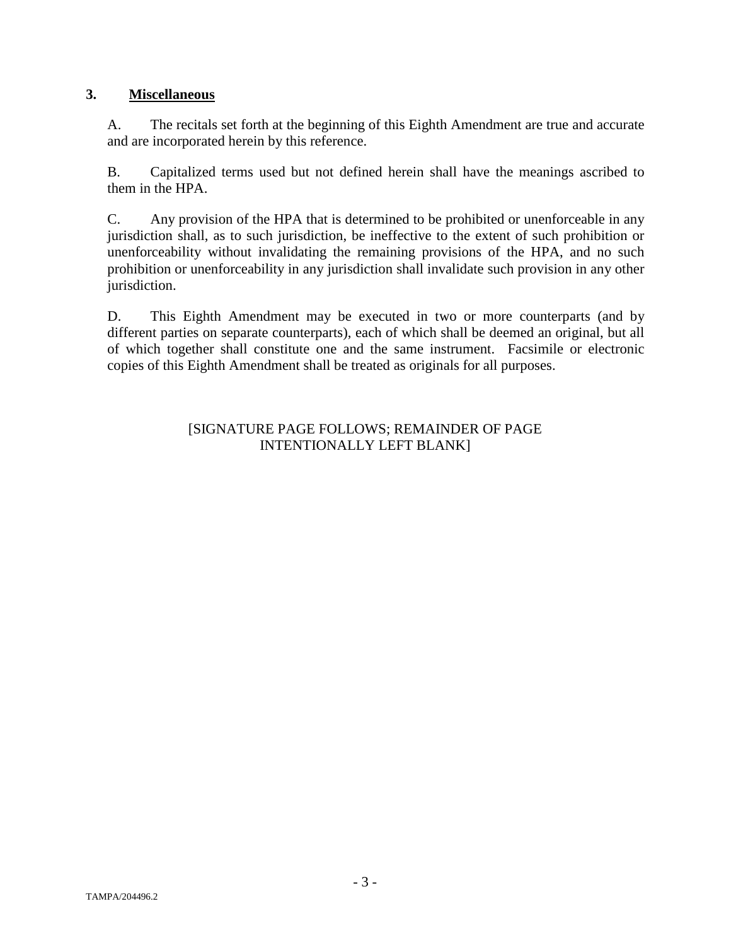## **3. Miscellaneous**

A. The recitals set forth at the beginning of this Eighth Amendment are true and accurate and are incorporated herein by this reference.

B. Capitalized terms used but not defined herein shall have the meanings ascribed to them in the HPA.

C. Any provision of the HPA that is determined to be prohibited or unenforceable in any jurisdiction shall, as to such jurisdiction, be ineffective to the extent of such prohibition or unenforceability without invalidating the remaining provisions of the HPA, and no such prohibition or unenforceability in any jurisdiction shall invalidate such provision in any other jurisdiction.

D. This Eighth Amendment may be executed in two or more counterparts (and by different parties on separate counterparts), each of which shall be deemed an original, but all of which together shall constitute one and the same instrument. Facsimile or electronic copies of this Eighth Amendment shall be treated as originals for all purposes.

#### [SIGNATURE PAGE FOLLOWS; REMAINDER OF PAGE INTENTIONALLY LEFT BLANK]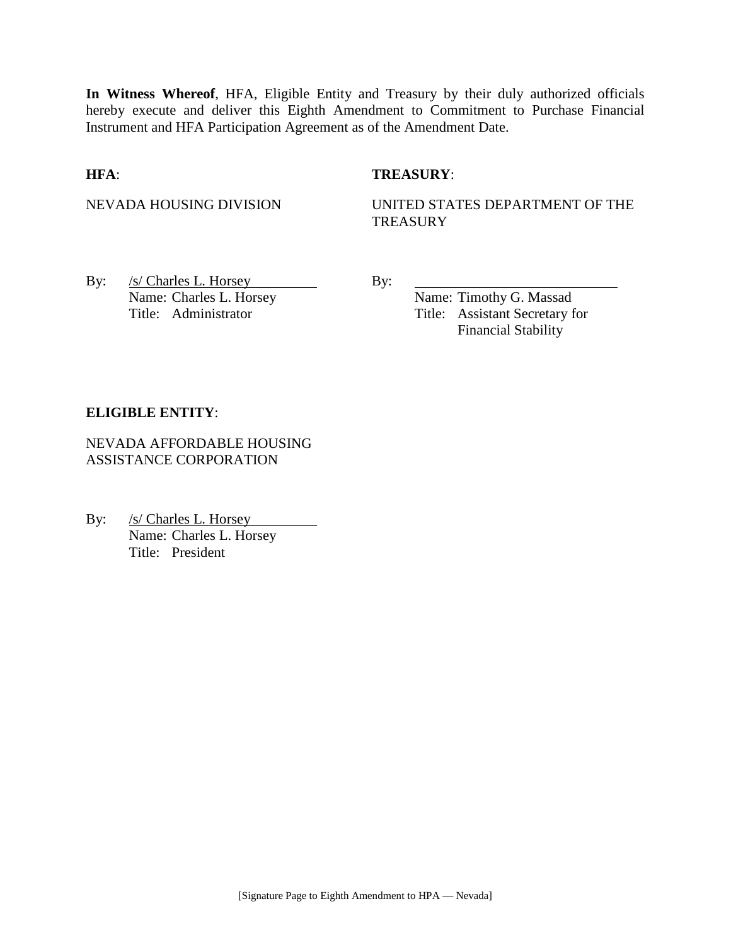**In Witness Whereof**, HFA, Eligible Entity and Treasury by their duly authorized officials hereby execute and deliver this Eighth Amendment to Commitment to Purchase Financial Instrument and HFA Participation Agreement as of the Amendment Date.

#### **HFA**: **TREASURY**:

NEVADA HOUSING DIVISION UNITED STATES DEPARTMENT OF THE **TREASURY** 

By: /s/ Charles L. Horsey By: Name: Charles L. Horsey Name: Timothy G. Massad

Title: Administrator Title: Assistant Secretary for Financial Stability

#### **ELIGIBLE ENTITY**:

NEVADA AFFORDABLE HOUSING ASSISTANCE CORPORATION

By: /s/ Charles L. Horsey Name: Charles L. Horsey Title: President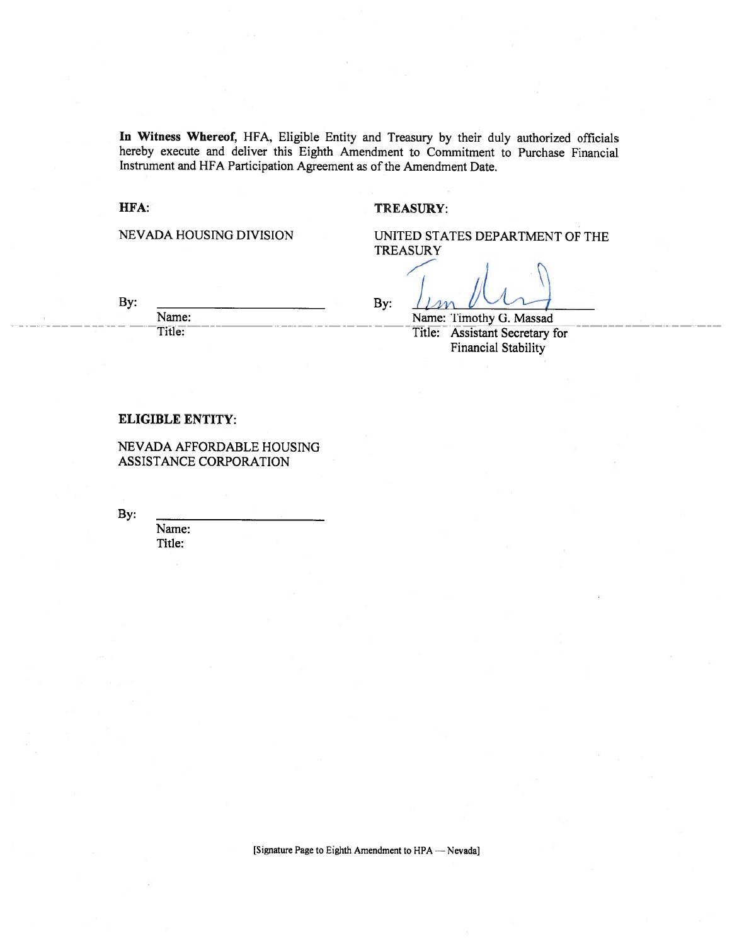In Witness Whereof, HFA, Eligible Entity and Treasury by their duly authorized officials hereby execute and deliver this Eighth Amendment to Commitment to Purchase Financial Instrument and HFA Participation Agreement as of the Amendment Date.

By:

#### HFA:

#### **TREASURY:**

NEVADA HOUSING DIVISION

UNITED STATES DEPARTMENT OF THE **TREASURY** 

By:

Name: Title:

Name: Timothy G. Massad Title: Assistant Secretary for

**Financial Stability** 

#### **ELIGIBLE ENTITY:**

NEVADA AFFORDABLE HOUSING ASSISTANCE CORPORATION

By:

Name: Title:

[Signature Page to Eighth Amendment to HPA - Nevada]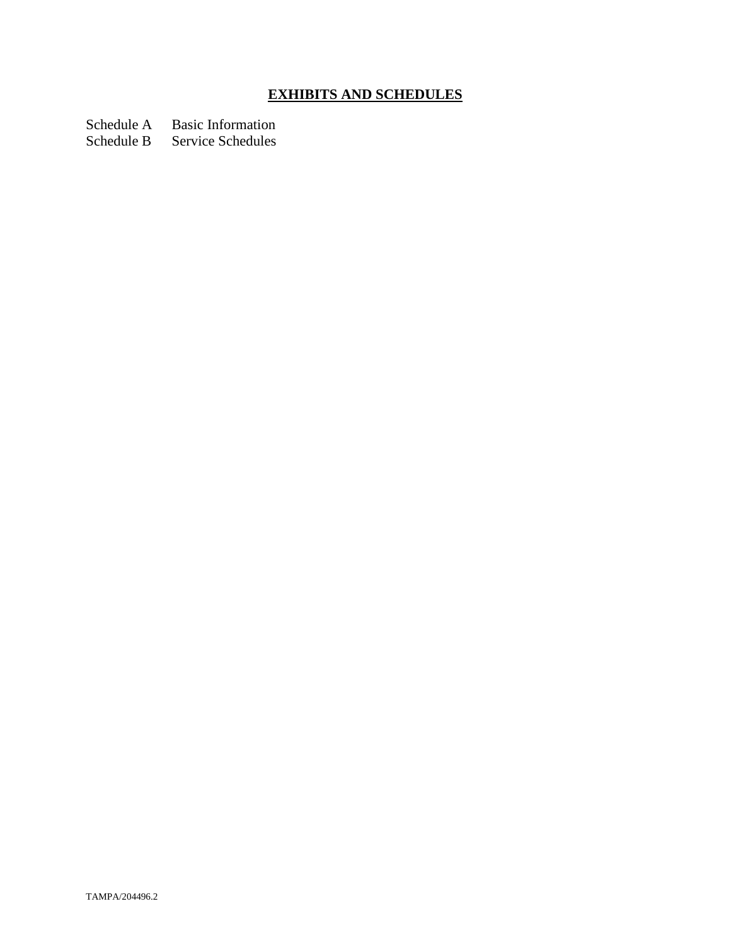# **EXHIBITS AND SCHEDULES**

Schedule A Basic Information<br>Schedule B Service Schedules

Service Schedules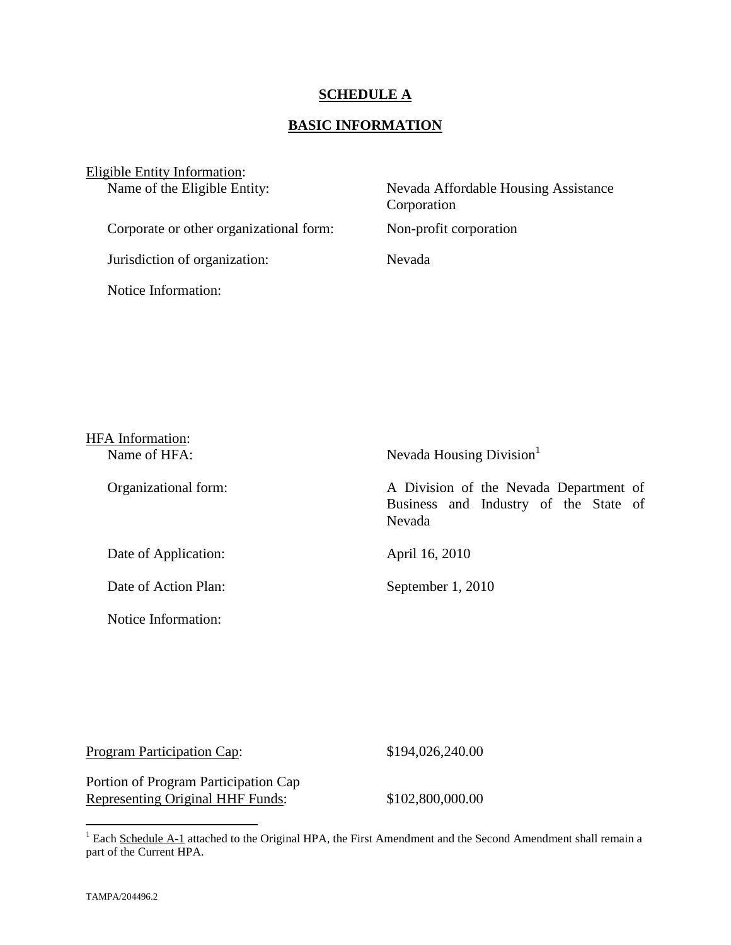#### **SCHEDULE A**

#### **BASIC INFORMATION**

Eligible Entity Information:<br>Name of the Eligible Entity:

Corporate or other organizational form: Non-profit corporation

Jurisdiction of organization: Nevada

Notice Information:

Nevada Affordable Housing Assistance Corporation

| <b>HFA</b> Information: |                                                                                           |
|-------------------------|-------------------------------------------------------------------------------------------|
| Name of HFA:            | Nevada Housing Division <sup>1</sup>                                                      |
| Organizational form:    | A Division of the Nevada Department of<br>Business and Industry of the State of<br>Nevada |
| Date of Application:    | April 16, 2010                                                                            |
| Date of Action Plan:    | September 1, 2010                                                                         |
| Notice Information:     |                                                                                           |

| Program Participation Cap: |  |
|----------------------------|--|
|                            |  |

 $$194,026,240.00$ 

Portion of Program Participation Cap Representing Original HHF Funds: \$102,800,000.00

<span id="page-6-0"></span><sup>&</sup>lt;sup>1</sup> Each Schedule A-1 attached to the Original HPA, the First Amendment and the Second Amendment shall remain a part of the Current HPA.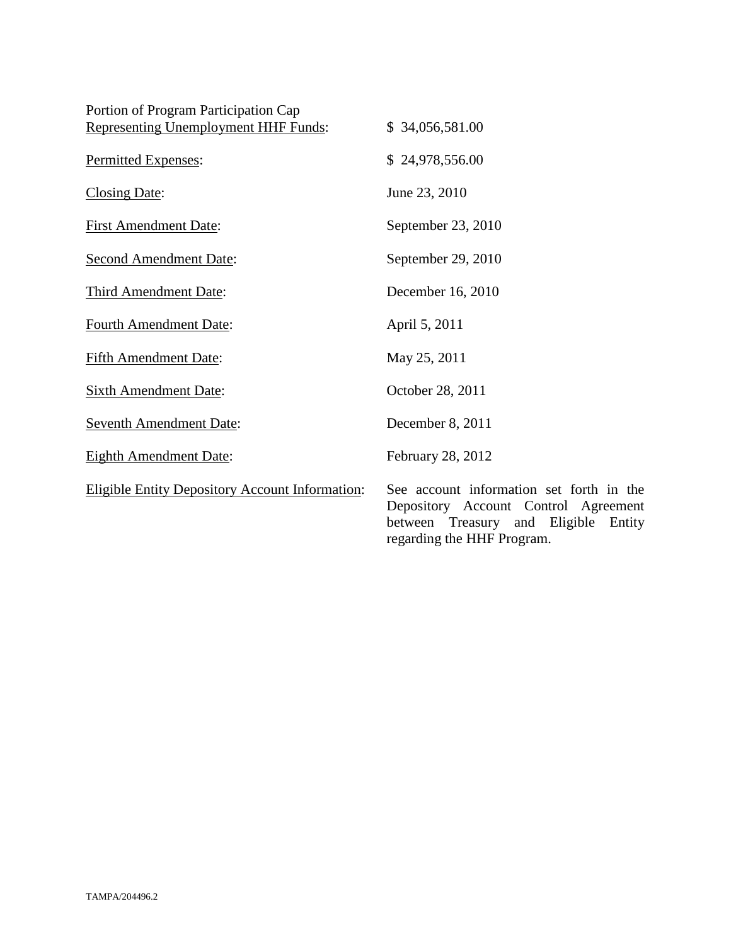| Portion of Program Participation Cap<br><b>Representing Unemployment HHF Funds:</b> | \$34,056,581.00                                                                                                                   |
|-------------------------------------------------------------------------------------|-----------------------------------------------------------------------------------------------------------------------------------|
| Permitted Expenses:                                                                 | \$24,978,556.00                                                                                                                   |
| <b>Closing Date:</b>                                                                | June 23, 2010                                                                                                                     |
| <b>First Amendment Date:</b>                                                        | September 23, 2010                                                                                                                |
| <b>Second Amendment Date:</b>                                                       | September 29, 2010                                                                                                                |
| Third Amendment Date:                                                               | December 16, 2010                                                                                                                 |
| <b>Fourth Amendment Date:</b>                                                       | April 5, 2011                                                                                                                     |
| <b>Fifth Amendment Date:</b>                                                        | May 25, 2011                                                                                                                      |
| <b>Sixth Amendment Date:</b>                                                        | October 28, 2011                                                                                                                  |
| <b>Seventh Amendment Date:</b>                                                      | December 8, 2011                                                                                                                  |
| <b>Eighth Amendment Date:</b>                                                       | February 28, 2012                                                                                                                 |
| <b>Eligible Entity Depository Account Information:</b>                              | See account information set forth in the<br>Depository Account Control Agreement<br>Eligible<br>between Treasury<br>and<br>Entity |

regarding the HHF Program.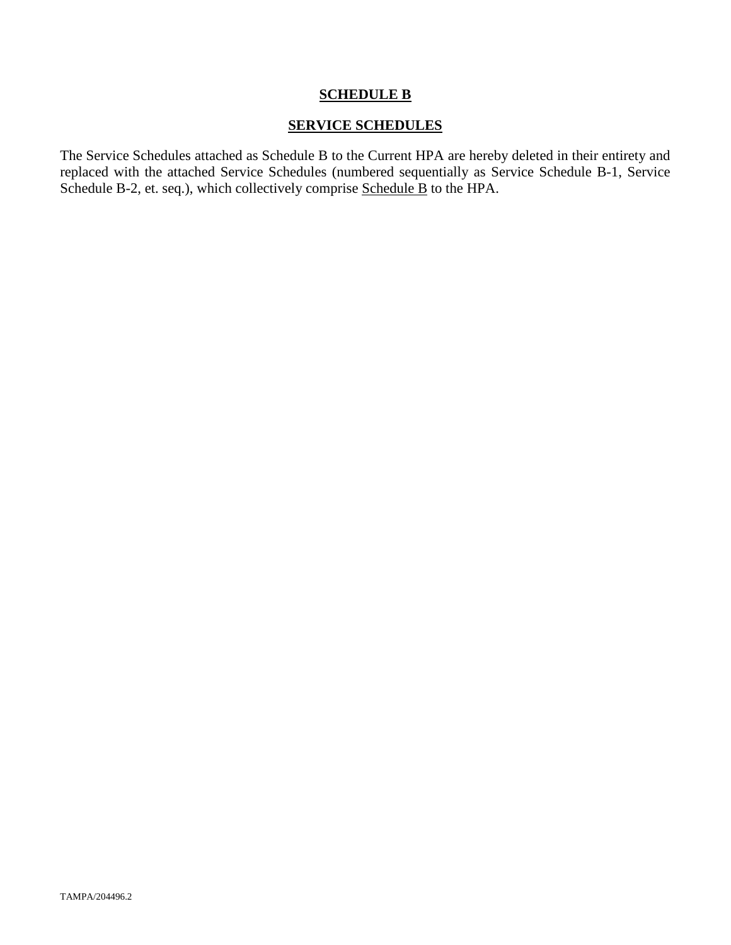## **SCHEDULE B**

#### **SERVICE SCHEDULES**

The Service Schedules attached as Schedule B to the Current HPA are hereby deleted in their entirety and replaced with the attached Service Schedules (numbered sequentially as Service Schedule B-1, Service Schedule B-2, et. seq.), which collectively comprise Schedule B to the HPA.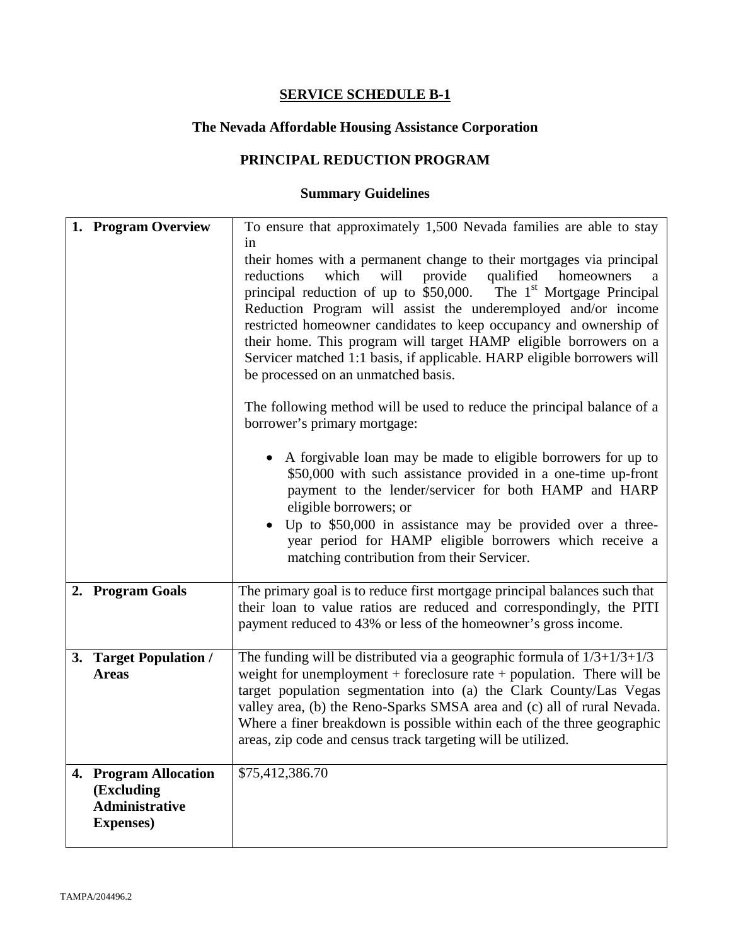# **The Nevada Affordable Housing Assistance Corporation**

# **PRINCIPAL REDUCTION PROGRAM**

| 1. Program Overview                                                              | To ensure that approximately 1,500 Nevada families are able to stay                                                                                                                                                                                                                                                                                                                                                                                                                                                                                                                                                                                                                                                                                                                                                                                                                                                                                                                                                                                                         |
|----------------------------------------------------------------------------------|-----------------------------------------------------------------------------------------------------------------------------------------------------------------------------------------------------------------------------------------------------------------------------------------------------------------------------------------------------------------------------------------------------------------------------------------------------------------------------------------------------------------------------------------------------------------------------------------------------------------------------------------------------------------------------------------------------------------------------------------------------------------------------------------------------------------------------------------------------------------------------------------------------------------------------------------------------------------------------------------------------------------------------------------------------------------------------|
|                                                                                  | 1n<br>their homes with a permanent change to their mortgages via principal<br>which<br>provide<br>qualified<br>reductions<br>will<br>homeowners<br>a<br>principal reduction of up to \$50,000. The 1 <sup>st</sup> Mortgage Principal<br>Reduction Program will assist the underemployed and/or income<br>restricted homeowner candidates to keep occupancy and ownership of<br>their home. This program will target HAMP eligible borrowers on a<br>Servicer matched 1:1 basis, if applicable. HARP eligible borrowers will<br>be processed on an unmatched basis.<br>The following method will be used to reduce the principal balance of a<br>borrower's primary mortgage:<br>• A forgivable loan may be made to eligible borrowers for up to<br>\$50,000 with such assistance provided in a one-time up-front<br>payment to the lender/servicer for both HAMP and HARP<br>eligible borrowers; or<br>Up to \$50,000 in assistance may be provided over a three-<br>year period for HAMP eligible borrowers which receive a<br>matching contribution from their Servicer. |
| 2. Program Goals                                                                 | The primary goal is to reduce first mortgage principal balances such that<br>their loan to value ratios are reduced and correspondingly, the PITI<br>payment reduced to 43% or less of the homeowner's gross income.                                                                                                                                                                                                                                                                                                                                                                                                                                                                                                                                                                                                                                                                                                                                                                                                                                                        |
| 3. Target Population /<br><b>Areas</b>                                           | The funding will be distributed via a geographic formula of $1/3+1/3+1/3$<br>weight for unemployment $+$ foreclosure rate $+$ population. There will be<br>target population segmentation into (a) the Clark County/Las Vegas<br>valley area, (b) the Reno-Sparks SMSA area and (c) all of rural Nevada.<br>Where a finer breakdown is possible within each of the three geographic<br>areas, zip code and census track targeting will be utilized.                                                                                                                                                                                                                                                                                                                                                                                                                                                                                                                                                                                                                         |
| 4. Program Allocation<br>(Excluding<br><b>Administrative</b><br><b>Expenses)</b> | \$75,412,386.70                                                                                                                                                                                                                                                                                                                                                                                                                                                                                                                                                                                                                                                                                                                                                                                                                                                                                                                                                                                                                                                             |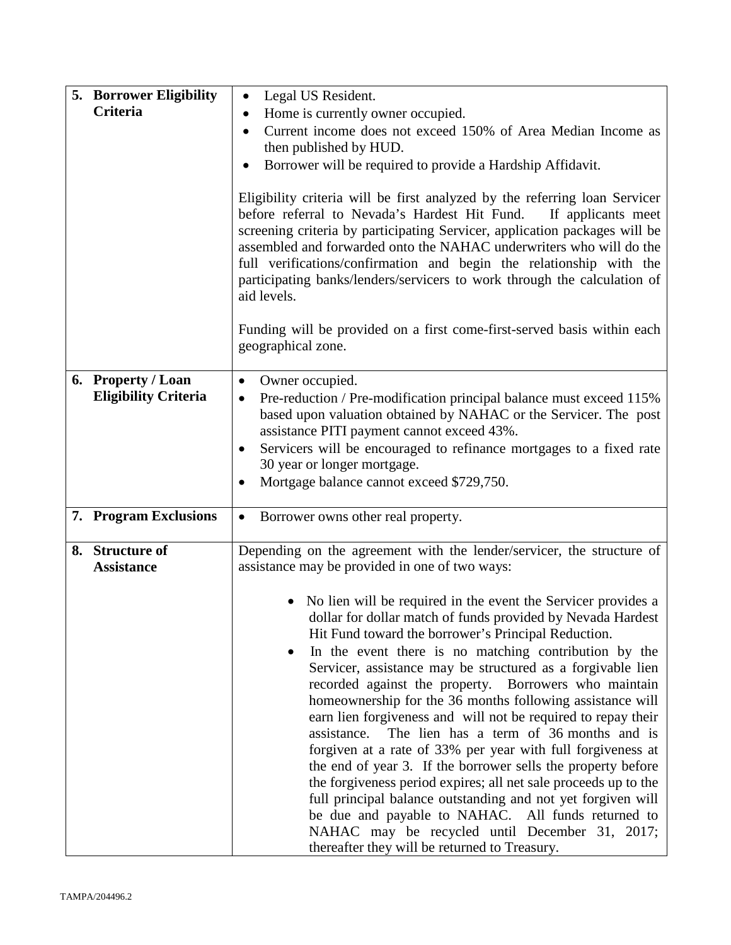| 5. Borrower Eligibility                           | Legal US Resident.<br>$\bullet$                                                                                                                                                                                                                                                                                                                                                                                                                                                                                                                                                                                                                                                                                                                                                                                                                                                                                                                                                                                                                                                                                    |
|---------------------------------------------------|--------------------------------------------------------------------------------------------------------------------------------------------------------------------------------------------------------------------------------------------------------------------------------------------------------------------------------------------------------------------------------------------------------------------------------------------------------------------------------------------------------------------------------------------------------------------------------------------------------------------------------------------------------------------------------------------------------------------------------------------------------------------------------------------------------------------------------------------------------------------------------------------------------------------------------------------------------------------------------------------------------------------------------------------------------------------------------------------------------------------|
| Criteria                                          | Home is currently owner occupied.                                                                                                                                                                                                                                                                                                                                                                                                                                                                                                                                                                                                                                                                                                                                                                                                                                                                                                                                                                                                                                                                                  |
|                                                   | Current income does not exceed 150% of Area Median Income as<br>then published by HUD.                                                                                                                                                                                                                                                                                                                                                                                                                                                                                                                                                                                                                                                                                                                                                                                                                                                                                                                                                                                                                             |
|                                                   | Borrower will be required to provide a Hardship Affidavit.                                                                                                                                                                                                                                                                                                                                                                                                                                                                                                                                                                                                                                                                                                                                                                                                                                                                                                                                                                                                                                                         |
|                                                   | Eligibility criteria will be first analyzed by the referring loan Servicer<br>before referral to Nevada's Hardest Hit Fund.<br>If applicants meet<br>screening criteria by participating Servicer, application packages will be<br>assembled and forwarded onto the NAHAC underwriters who will do the<br>full verifications/confirmation and begin the relationship with the<br>participating banks/lenders/servicers to work through the calculation of<br>aid levels.                                                                                                                                                                                                                                                                                                                                                                                                                                                                                                                                                                                                                                           |
|                                                   | Funding will be provided on a first come-first-served basis within each<br>geographical zone.                                                                                                                                                                                                                                                                                                                                                                                                                                                                                                                                                                                                                                                                                                                                                                                                                                                                                                                                                                                                                      |
| 6. Property / Loan<br><b>Eligibility Criteria</b> | Owner occupied.<br>Pre-reduction / Pre-modification principal balance must exceed 115%<br>٠<br>based upon valuation obtained by NAHAC or the Servicer. The post<br>assistance PITI payment cannot exceed 43%.<br>Servicers will be encouraged to refinance mortgages to a fixed rate<br>٠<br>30 year or longer mortgage.<br>Mortgage balance cannot exceed \$729,750.                                                                                                                                                                                                                                                                                                                                                                                                                                                                                                                                                                                                                                                                                                                                              |
| 7. Program Exclusions                             | Borrower owns other real property.<br>$\bullet$                                                                                                                                                                                                                                                                                                                                                                                                                                                                                                                                                                                                                                                                                                                                                                                                                                                                                                                                                                                                                                                                    |
| 8. Structure of<br><b>Assistance</b>              | Depending on the agreement with the lender/servicer, the structure of<br>assistance may be provided in one of two ways:<br>No lien will be required in the event the Servicer provides a<br>dollar for dollar match of funds provided by Nevada Hardest<br>Hit Fund toward the borrower's Principal Reduction.<br>In the event there is no matching contribution by the<br>Servicer, assistance may be structured as a forgivable lien<br>recorded against the property. Borrowers who maintain<br>homeownership for the 36 months following assistance will<br>earn lien forgiveness and will not be required to repay their<br>The lien has a term of 36 months and is<br>assistance.<br>forgiven at a rate of 33% per year with full forgiveness at<br>the end of year 3. If the borrower sells the property before<br>the forgiveness period expires; all net sale proceeds up to the<br>full principal balance outstanding and not yet forgiven will<br>be due and payable to NAHAC. All funds returned to<br>NAHAC may be recycled until December 31, 2017;<br>thereafter they will be returned to Treasury. |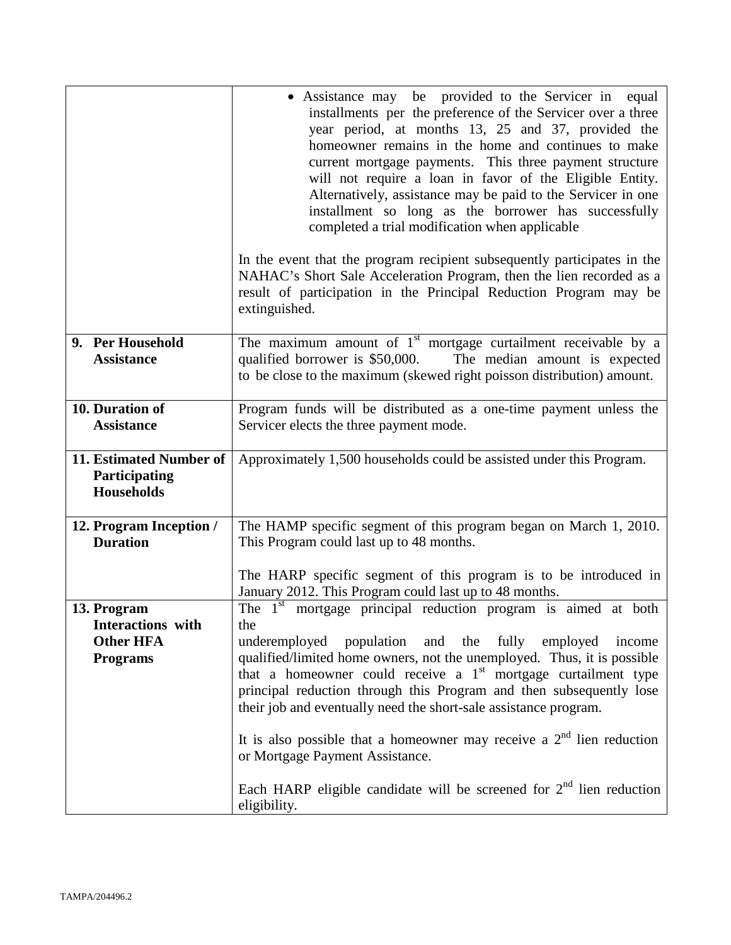|                                                                         | • Assistance may be provided to the Servicer in equal<br>installments per the preference of the Servicer over a three<br>year period, at months 13, 25 and 37, provided the<br>homeowner remains in the home and continues to make<br>current mortgage payments. This three payment structure<br>will not require a loan in favor of the Eligible Entity.<br>Alternatively, assistance may be paid to the Servicer in one<br>installment so long as the borrower has successfully<br>completed a trial modification when applicable<br>In the event that the program recipient subsequently participates in the<br>NAHAC's Short Sale Acceleration Program, then the lien recorded as a<br>result of participation in the Principal Reduction Program may be<br>extinguished. |
|-------------------------------------------------------------------------|-------------------------------------------------------------------------------------------------------------------------------------------------------------------------------------------------------------------------------------------------------------------------------------------------------------------------------------------------------------------------------------------------------------------------------------------------------------------------------------------------------------------------------------------------------------------------------------------------------------------------------------------------------------------------------------------------------------------------------------------------------------------------------|
| 9. Per Household                                                        | The maximum amount of $1st$ mortgage curtailment receivable by a                                                                                                                                                                                                                                                                                                                                                                                                                                                                                                                                                                                                                                                                                                              |
| <b>Assistance</b>                                                       | qualified borrower is \$50,000.<br>The median amount is expected<br>to be close to the maximum (skewed right poisson distribution) amount.                                                                                                                                                                                                                                                                                                                                                                                                                                                                                                                                                                                                                                    |
| 10. Duration of<br><b>Assistance</b>                                    | Program funds will be distributed as a one-time payment unless the<br>Servicer elects the three payment mode.                                                                                                                                                                                                                                                                                                                                                                                                                                                                                                                                                                                                                                                                 |
| 11. Estimated Number of<br>Participating<br><b>Households</b>           | Approximately 1,500 households could be assisted under this Program.                                                                                                                                                                                                                                                                                                                                                                                                                                                                                                                                                                                                                                                                                                          |
| 12. Program Inception /<br><b>Duration</b>                              | The HAMP specific segment of this program began on March 1, 2010.<br>This Program could last up to 48 months.                                                                                                                                                                                                                                                                                                                                                                                                                                                                                                                                                                                                                                                                 |
|                                                                         | The HARP specific segment of this program is to be introduced in<br>January 2012. This Program could last up to 48 months.                                                                                                                                                                                                                                                                                                                                                                                                                                                                                                                                                                                                                                                    |
| 13. Program<br>Interactions with<br><b>Other HFA</b><br><b>Programs</b> | The 1 <sup>st</sup> mortgage principal reduction program is aimed at both<br>the<br>underemployed population and the fully employed<br>income<br>qualified/limited home owners, not the unemployed. Thus, it is possible<br>that a homeowner could receive a $1st$ mortgage curtailment type<br>principal reduction through this Program and then subsequently lose<br>their job and eventually need the short-sale assistance program.<br>It is also possible that a homeowner may receive a $2nd$ lien reduction<br>or Mortgage Payment Assistance.<br>Each HARP eligible candidate will be screened for $2nd$ lien reduction<br>eligibility.                                                                                                                               |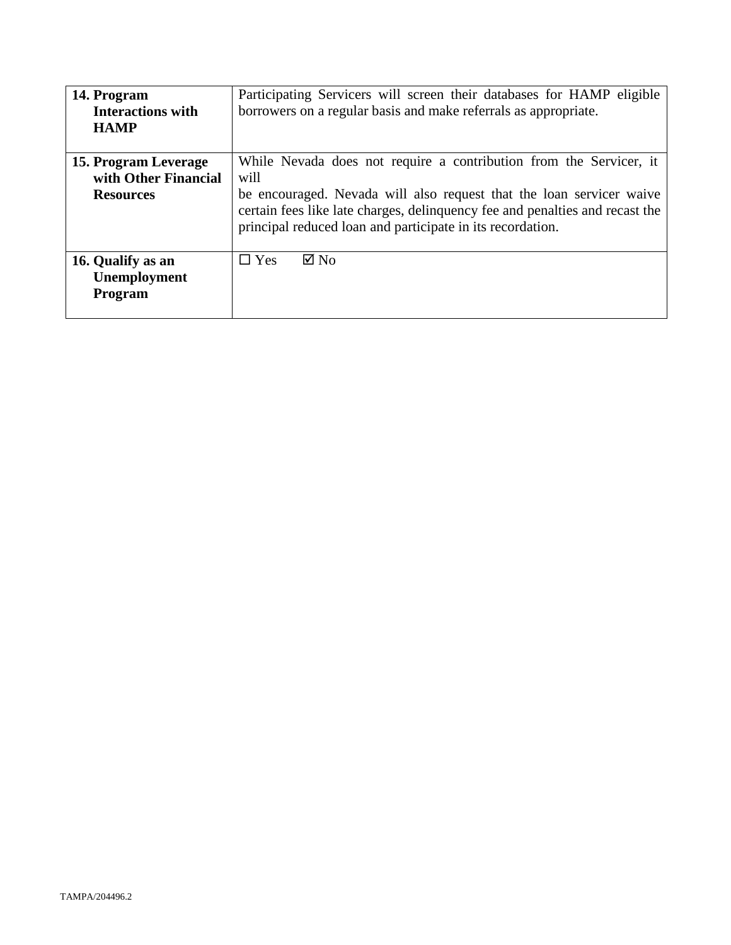| 14. Program<br><b>Interactions with</b><br><b>HAMP</b>           | Participating Servicers will screen their databases for HAMP eligible<br>borrowers on a regular basis and make referrals as appropriate.                                                                                                                                                         |
|------------------------------------------------------------------|--------------------------------------------------------------------------------------------------------------------------------------------------------------------------------------------------------------------------------------------------------------------------------------------------|
| 15. Program Leverage<br>with Other Financial<br><b>Resources</b> | While Nevada does not require a contribution from the Servicer, it<br>will<br>be encouraged. Nevada will also request that the loan servicer waive<br>certain fees like late charges, delinquency fee and penalties and recast the<br>principal reduced loan and participate in its recordation. |
| 16. Qualify as an<br>Unemployment<br><b>Program</b>              | $\boxtimes$ No<br>$\Box$ Yes                                                                                                                                                                                                                                                                     |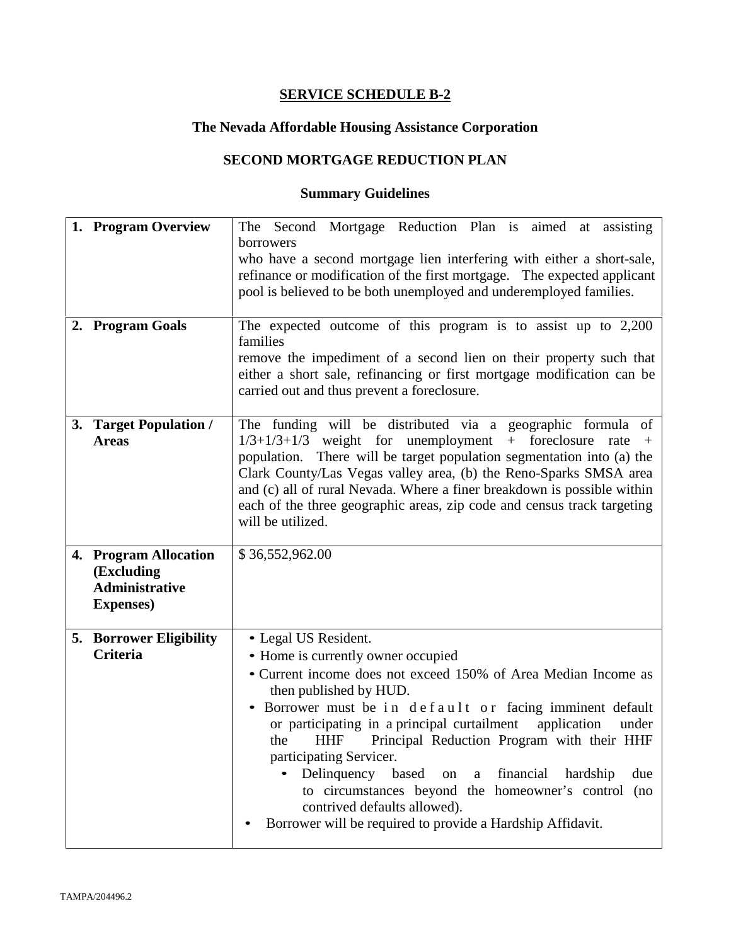# **The Nevada Affordable Housing Assistance Corporation**

# **SECOND MORTGAGE REDUCTION PLAN**

| 1. Program Overview<br>2. Program Goals                                           | The Second Mortgage Reduction Plan is aimed at assisting<br>borrowers<br>who have a second mortgage lien interfering with either a short-sale,<br>refinance or modification of the first mortgage. The expected applicant<br>pool is believed to be both unemployed and underemployed families.<br>The expected outcome of this program is to assist up to $2,200$<br>families<br>remove the impediment of a second lien on their property such that<br>either a short sale, refinancing or first mortgage modification can be<br>carried out and thus prevent a foreclosure. |
|-----------------------------------------------------------------------------------|-------------------------------------------------------------------------------------------------------------------------------------------------------------------------------------------------------------------------------------------------------------------------------------------------------------------------------------------------------------------------------------------------------------------------------------------------------------------------------------------------------------------------------------------------------------------------------|
| 3. Target Population /<br><b>Areas</b>                                            | The funding will be distributed via a geographic formula of<br>$1/3+1/3+1/3$ weight for unemployment + foreclosure<br>rate<br>$+$<br>population. There will be target population segmentation into (a) the<br>Clark County/Las Vegas valley area, (b) the Reno-Sparks SMSA area<br>and (c) all of rural Nevada. Where a finer breakdown is possible within<br>each of the three geographic areas, zip code and census track targeting<br>will be utilized.                                                                                                                    |
| 4. Program Allocation<br>(Excluding<br><b>Administrative</b><br><b>Expenses</b> ) | \$36,552,962.00                                                                                                                                                                                                                                                                                                                                                                                                                                                                                                                                                               |
| <b>5. Borrower Eligibility</b><br>Criteria                                        | • Legal US Resident.<br>• Home is currently owner occupied                                                                                                                                                                                                                                                                                                                                                                                                                                                                                                                    |
|                                                                                   | • Current income does not exceed 150% of Area Median Income as<br>then published by HUD.<br>Borrower must be in default or facing imminent default<br>$\bullet$<br>or participating in a principal curtailment<br>application<br>under<br>Principal Reduction Program with their HHF<br><b>HHF</b><br>the<br>participating Servicer.<br>Delinquency based<br>financial<br>due<br>hardship<br>on<br>$\mathbf{a}$<br>to circumstances beyond the homeowner's control (no<br>contrived defaults allowed).<br>Borrower will be required to provide a Hardship Affidavit.          |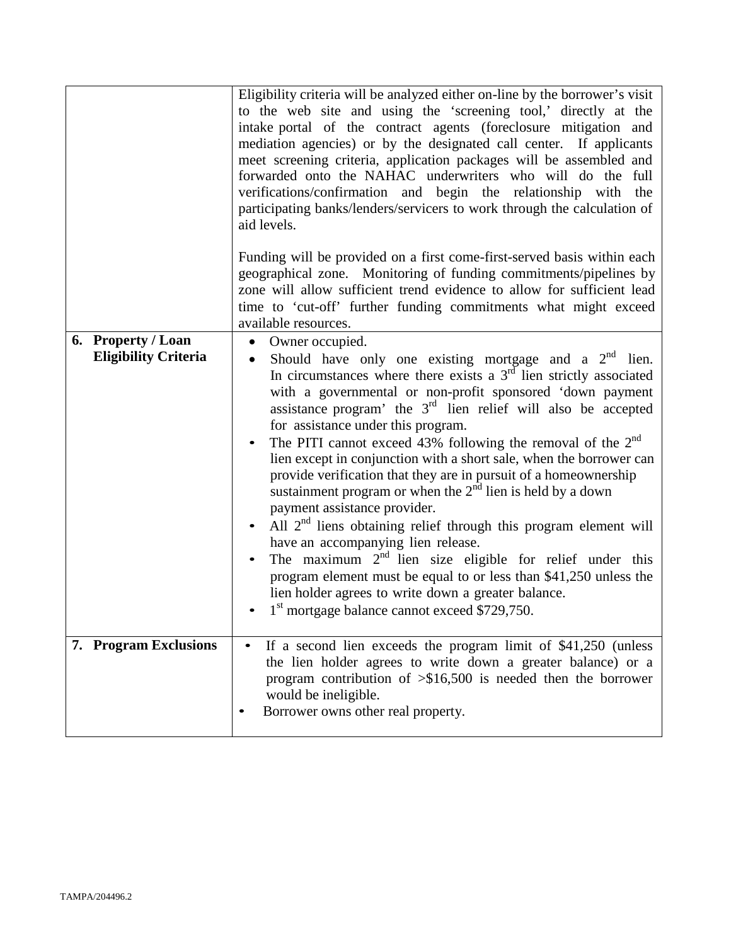|                                                   | Eligibility criteria will be analyzed either on-line by the borrower's visit<br>to the web site and using the 'screening tool,' directly at the<br>intake portal of the contract agents (foreclosure mitigation and<br>mediation agencies) or by the designated call center. If applicants<br>meet screening criteria, application packages will be assembled and<br>forwarded onto the NAHAC underwriters who will do the full<br>verifications/confirmation and begin the relationship with the<br>participating banks/lenders/servicers to work through the calculation of<br>aid levels.                                                                                                                                                                                                                                                                                                                                                                                                                             |
|---------------------------------------------------|--------------------------------------------------------------------------------------------------------------------------------------------------------------------------------------------------------------------------------------------------------------------------------------------------------------------------------------------------------------------------------------------------------------------------------------------------------------------------------------------------------------------------------------------------------------------------------------------------------------------------------------------------------------------------------------------------------------------------------------------------------------------------------------------------------------------------------------------------------------------------------------------------------------------------------------------------------------------------------------------------------------------------|
|                                                   | Funding will be provided on a first come-first-served basis within each<br>geographical zone. Monitoring of funding commitments/pipelines by<br>zone will allow sufficient trend evidence to allow for sufficient lead<br>time to 'cut-off' further funding commitments what might exceed<br>available resources.                                                                                                                                                                                                                                                                                                                                                                                                                                                                                                                                                                                                                                                                                                        |
| 6. Property / Loan<br><b>Eligibility Criteria</b> | $\bullet$<br>Owner occupied.<br>Should have only one existing mortgage and a $2nd$ lien.<br>$\bullet$<br>In circumstances where there exists a $3rd$ lien strictly associated<br>with a governmental or non-profit sponsored 'down payment<br>assistance program' the $3rd$ lien relief will also be accepted<br>for assistance under this program.<br>The PITI cannot exceed 43% following the removal of the $2nd$<br>lien except in conjunction with a short sale, when the borrower can<br>provide verification that they are in pursuit of a homeownership<br>sustainment program or when the $2nd$ lien is held by a down<br>payment assistance provider.<br>All $2nd$ liens obtaining relief through this program element will<br>have an accompanying lien release.<br>The maximum $2nd$ lien size eligible for relief under this<br>program element must be equal to or less than \$41,250 unless the<br>lien holder agrees to write down a greater balance.<br>$1st$ mortgage balance cannot exceed \$729,750. |
| 7. Program Exclusions                             | If a second lien exceeds the program limit of \$41,250 (unless<br>the lien holder agrees to write down a greater balance) or a<br>program contribution of $\frac{1}{500}$ is needed then the borrower<br>would be ineligible.<br>Borrower owns other real property.                                                                                                                                                                                                                                                                                                                                                                                                                                                                                                                                                                                                                                                                                                                                                      |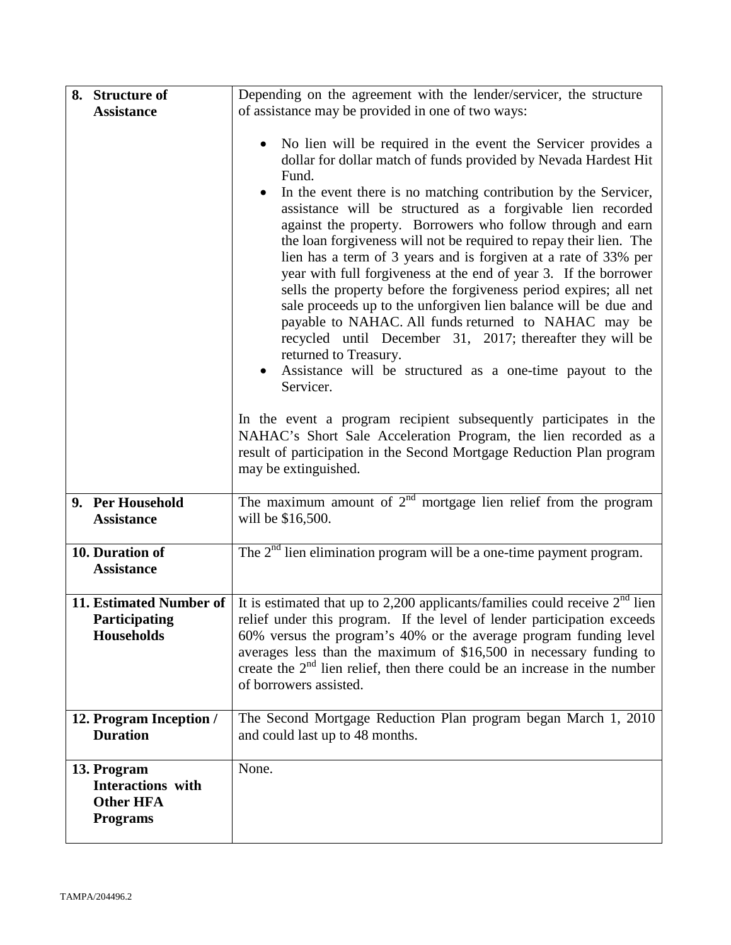| 8. Structure of                                                         | Depending on the agreement with the lender/servicer, the structure                                                                                                                                                                                                                                                                                                                                                                                                                                                                                                                                                                                                                                                                                                                                                                                                                                                                                                                                                                                                                                                                                                            |
|-------------------------------------------------------------------------|-------------------------------------------------------------------------------------------------------------------------------------------------------------------------------------------------------------------------------------------------------------------------------------------------------------------------------------------------------------------------------------------------------------------------------------------------------------------------------------------------------------------------------------------------------------------------------------------------------------------------------------------------------------------------------------------------------------------------------------------------------------------------------------------------------------------------------------------------------------------------------------------------------------------------------------------------------------------------------------------------------------------------------------------------------------------------------------------------------------------------------------------------------------------------------|
| <b>Assistance</b>                                                       | of assistance may be provided in one of two ways:                                                                                                                                                                                                                                                                                                                                                                                                                                                                                                                                                                                                                                                                                                                                                                                                                                                                                                                                                                                                                                                                                                                             |
|                                                                         | No lien will be required in the event the Servicer provides a<br>$\bullet$<br>dollar for dollar match of funds provided by Nevada Hardest Hit<br>Fund.<br>In the event there is no matching contribution by the Servicer,<br>assistance will be structured as a forgivable lien recorded<br>against the property. Borrowers who follow through and earn<br>the loan forgiveness will not be required to repay their lien. The<br>lien has a term of 3 years and is forgiven at a rate of 33% per<br>year with full forgiveness at the end of year 3. If the borrower<br>sells the property before the forgiveness period expires; all net<br>sale proceeds up to the unforgiven lien balance will be due and<br>payable to NAHAC. All funds returned to NAHAC may be<br>recycled until December 31, 2017; thereafter they will be<br>returned to Treasury.<br>Assistance will be structured as a one-time payout to the<br>Servicer.<br>In the event a program recipient subsequently participates in the<br>NAHAC's Short Sale Acceleration Program, the lien recorded as a<br>result of participation in the Second Mortgage Reduction Plan program<br>may be extinguished. |
| 9. Per Household<br><b>Assistance</b>                                   | The maximum amount of $2nd$ mortgage lien relief from the program<br>will be \$16,500.                                                                                                                                                                                                                                                                                                                                                                                                                                                                                                                                                                                                                                                                                                                                                                                                                                                                                                                                                                                                                                                                                        |
| 10. Duration of<br><b>Assistance</b>                                    | The $2nd$ lien elimination program will be a one-time payment program.                                                                                                                                                                                                                                                                                                                                                                                                                                                                                                                                                                                                                                                                                                                                                                                                                                                                                                                                                                                                                                                                                                        |
| 11. Estimated Number of<br><b>Participating</b><br>Households           | It is estimated that up to 2,200 applicants/families could receive $2nd$ lien<br>relief under this program. If the level of lender participation exceeds<br>60% versus the program's 40% or the average program funding level<br>averages less than the maximum of \$16,500 in necessary funding to<br>create the $2nd$ lien relief, then there could be an increase in the number<br>of borrowers assisted.                                                                                                                                                                                                                                                                                                                                                                                                                                                                                                                                                                                                                                                                                                                                                                  |
| 12. Program Inception /<br><b>Duration</b>                              | The Second Mortgage Reduction Plan program began March 1, 2010<br>and could last up to 48 months.                                                                                                                                                                                                                                                                                                                                                                                                                                                                                                                                                                                                                                                                                                                                                                                                                                                                                                                                                                                                                                                                             |
| 13. Program<br>Interactions with<br><b>Other HFA</b><br><b>Programs</b> | None.                                                                                                                                                                                                                                                                                                                                                                                                                                                                                                                                                                                                                                                                                                                                                                                                                                                                                                                                                                                                                                                                                                                                                                         |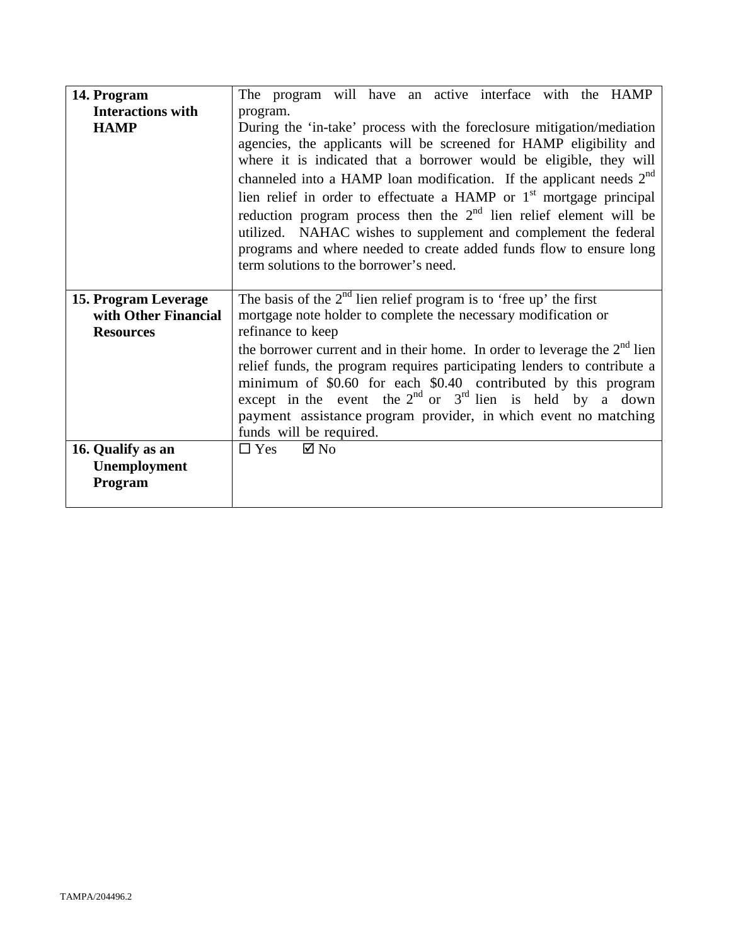| 14. Program                                                      | The program will have an active interface with the HAMP                                                                                                                                                                                                                                                                                                                                                                                                                                                                                                                                                                          |
|------------------------------------------------------------------|----------------------------------------------------------------------------------------------------------------------------------------------------------------------------------------------------------------------------------------------------------------------------------------------------------------------------------------------------------------------------------------------------------------------------------------------------------------------------------------------------------------------------------------------------------------------------------------------------------------------------------|
| <b>Interactions with</b>                                         | program.                                                                                                                                                                                                                                                                                                                                                                                                                                                                                                                                                                                                                         |
| <b>HAMP</b>                                                      | During the 'in-take' process with the foreclosure mitigation/mediation<br>agencies, the applicants will be screened for HAMP eligibility and<br>where it is indicated that a borrower would be eligible, they will<br>channeled into a HAMP loan modification. If the applicant needs $2nd$<br>lien relief in order to effectuate a HAMP or $1st$ mortgage principal<br>reduction program process then the $2nd$ lien relief element will be<br>utilized. NAHAC wishes to supplement and complement the federal<br>programs and where needed to create added funds flow to ensure long<br>term solutions to the borrower's need. |
| 15. Program Leverage<br>with Other Financial<br><b>Resources</b> | The basis of the $2nd$ lien relief program is to 'free up' the first<br>mortgage note holder to complete the necessary modification or<br>refinance to keep                                                                                                                                                                                                                                                                                                                                                                                                                                                                      |
|                                                                  | the borrower current and in their home. In order to leverage the $2nd$ lien<br>relief funds, the program requires participating lenders to contribute a<br>minimum of \$0.60 for each \$0.40 contributed by this program<br>except in the event the $2^{nd}$ or $3^{rd}$ lien is held by a down<br>payment assistance program provider, in which event no matching<br>funds will be required.                                                                                                                                                                                                                                    |
| 16. Qualify as an                                                | $\boxtimes$ No<br>$\Box$ Yes                                                                                                                                                                                                                                                                                                                                                                                                                                                                                                                                                                                                     |
| Unemployment                                                     |                                                                                                                                                                                                                                                                                                                                                                                                                                                                                                                                                                                                                                  |
| Program                                                          |                                                                                                                                                                                                                                                                                                                                                                                                                                                                                                                                                                                                                                  |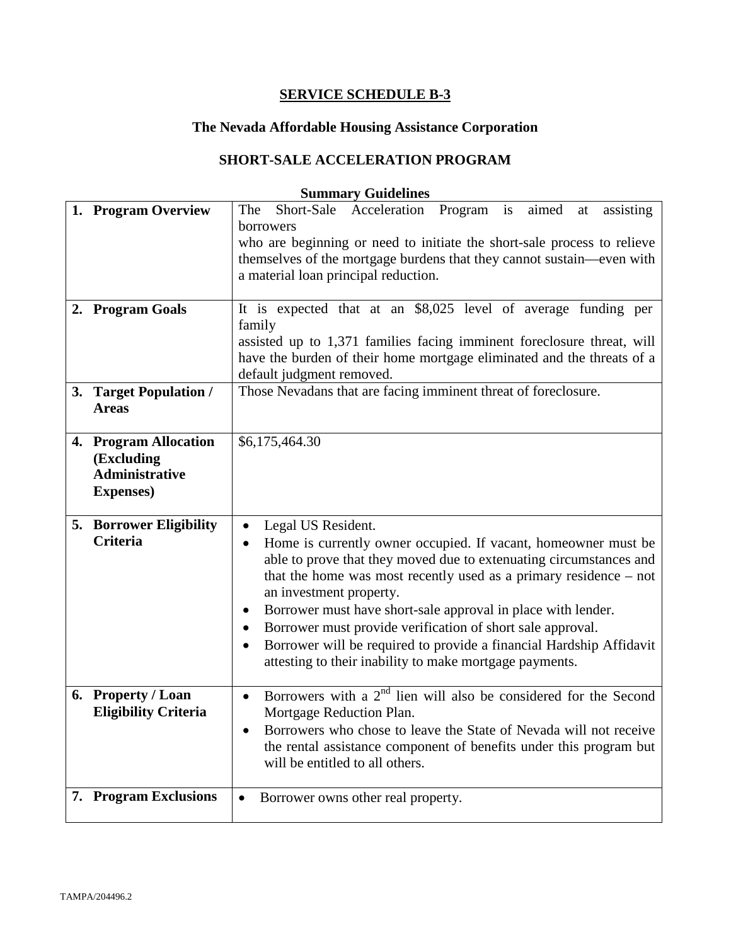# **The Nevada Affordable Housing Assistance Corporation**

# **SHORT-SALE ACCELERATION PROGRAM**

| 1. Program Overview                                                               | Short-Sale<br>Acceleration Program is<br>aimed<br>assisting<br>The<br>at<br>borrowers<br>who are beginning or need to initiate the short-sale process to relieve<br>themselves of the mortgage burdens that they cannot sustain—even with<br>a material loan principal reduction.                                                                                                                                                                                                                                                         |
|-----------------------------------------------------------------------------------|-------------------------------------------------------------------------------------------------------------------------------------------------------------------------------------------------------------------------------------------------------------------------------------------------------------------------------------------------------------------------------------------------------------------------------------------------------------------------------------------------------------------------------------------|
| 2. Program Goals                                                                  | It is expected that at an \$8,025 level of average funding per<br>family<br>assisted up to 1,371 families facing imminent foreclosure threat, will<br>have the burden of their home mortgage eliminated and the threats of a<br>default judgment removed.                                                                                                                                                                                                                                                                                 |
| 3. Target Population /<br><b>Areas</b>                                            | Those Nevadans that are facing imminent threat of foreclosure.                                                                                                                                                                                                                                                                                                                                                                                                                                                                            |
| 4. Program Allocation<br>(Excluding<br><b>Administrative</b><br><b>Expenses</b> ) | \$6,175,464.30                                                                                                                                                                                                                                                                                                                                                                                                                                                                                                                            |
| 5. Borrower Eligibility<br><b>Criteria</b>                                        | Legal US Resident.<br>Home is currently owner occupied. If vacant, homeowner must be<br>able to prove that they moved due to extenuating circumstances and<br>that the home was most recently used as a primary residence $-$ not<br>an investment property.<br>Borrower must have short-sale approval in place with lender.<br>Borrower must provide verification of short sale approval.<br>Borrower will be required to provide a financial Hardship Affidavit<br>$\bullet$<br>attesting to their inability to make mortgage payments. |
| 6. Property / Loan<br><b>Eligibility Criteria</b>                                 | Borrowers with a $2nd$ lien will also be considered for the Second<br>$\bullet$<br>Mortgage Reduction Plan.<br>Borrowers who chose to leave the State of Nevada will not receive<br>$\bullet$<br>the rental assistance component of benefits under this program but<br>will be entitled to all others.                                                                                                                                                                                                                                    |
| 7. Program Exclusions                                                             | Borrower owns other real property.<br>$\bullet$                                                                                                                                                                                                                                                                                                                                                                                                                                                                                           |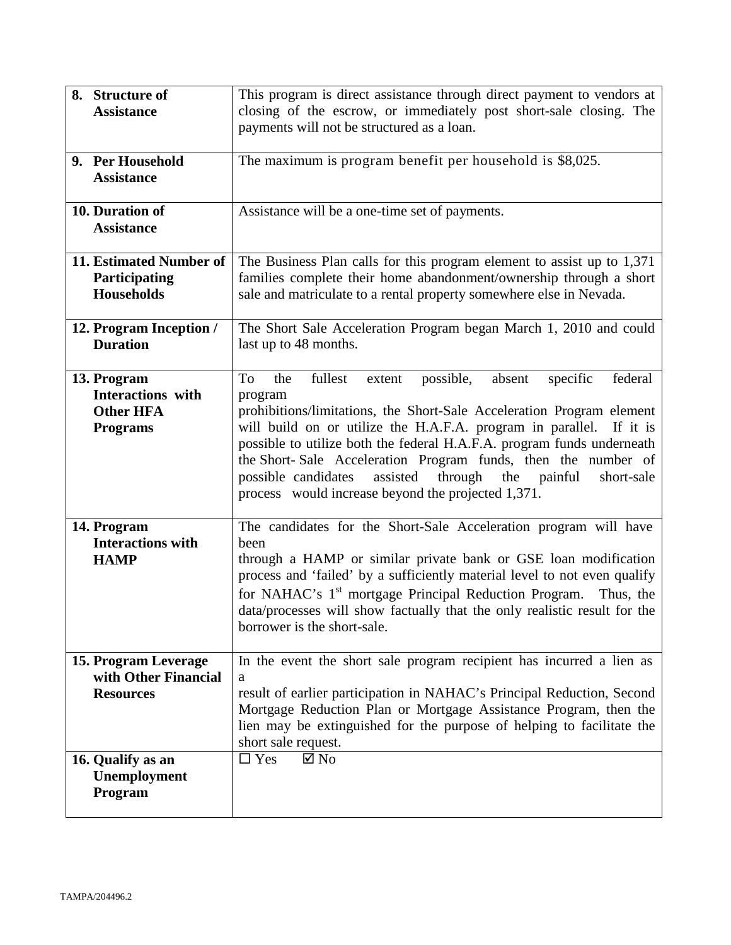| 8. Structure of<br><b>Assistance</b>                                           | This program is direct assistance through direct payment to vendors at<br>closing of the escrow, or immediately post short-sale closing. The<br>payments will not be structured as a loan.                                                                                                                                                                                                                                                                                                                          |
|--------------------------------------------------------------------------------|---------------------------------------------------------------------------------------------------------------------------------------------------------------------------------------------------------------------------------------------------------------------------------------------------------------------------------------------------------------------------------------------------------------------------------------------------------------------------------------------------------------------|
| 9. Per Household<br><b>Assistance</b>                                          | The maximum is program benefit per household is \$8,025.                                                                                                                                                                                                                                                                                                                                                                                                                                                            |
| 10. Duration of<br><b>Assistance</b>                                           | Assistance will be a one-time set of payments.                                                                                                                                                                                                                                                                                                                                                                                                                                                                      |
| 11. Estimated Number of<br><b>Participating</b><br><b>Households</b>           | The Business Plan calls for this program element to assist up to 1,371<br>families complete their home abandonment/ownership through a short<br>sale and matriculate to a rental property somewhere else in Nevada.                                                                                                                                                                                                                                                                                                 |
| 12. Program Inception /<br><b>Duration</b>                                     | The Short Sale Acceleration Program began March 1, 2010 and could<br>last up to 48 months.                                                                                                                                                                                                                                                                                                                                                                                                                          |
| 13. Program<br><b>Interactions with</b><br><b>Other HFA</b><br><b>Programs</b> | fullest<br>federal<br>the<br>possible,<br>absent<br>specific<br>To<br>extent<br>program<br>prohibitions/limitations, the Short-Sale Acceleration Program element<br>will build on or utilize the H.A.F.A. program in parallel. If it is<br>possible to utilize both the federal H.A.F.A. program funds underneath<br>the Short-Sale Acceleration Program funds, then the number of<br>through<br>possible candidates<br>assisted<br>the painful<br>short-sale<br>process would increase beyond the projected 1,371. |
| 14. Program<br><b>Interactions with</b><br><b>HAMP</b>                         | The candidates for the Short-Sale Acceleration program will have<br>been<br>through a HAMP or similar private bank or GSE loan modification<br>process and 'failed' by a sufficiently material level to not even qualify<br>for NAHAC's 1 <sup>st</sup> mortgage Principal Reduction Program.<br>Thus, the<br>data/processes will show factually that the only realistic result for the<br>borrower is the short-sale.                                                                                              |
| 15. Program Leverage<br>with Other Financial<br><b>Resources</b>               | In the event the short sale program recipient has incurred a lien as<br>a<br>result of earlier participation in NAHAC's Principal Reduction, Second<br>Mortgage Reduction Plan or Mortgage Assistance Program, then the<br>lien may be extinguished for the purpose of helping to facilitate the<br>short sale request.                                                                                                                                                                                             |
| 16. Qualify as an<br>Unemployment<br>Program                                   | $\boxtimes$ No<br>$\Box$ Yes                                                                                                                                                                                                                                                                                                                                                                                                                                                                                        |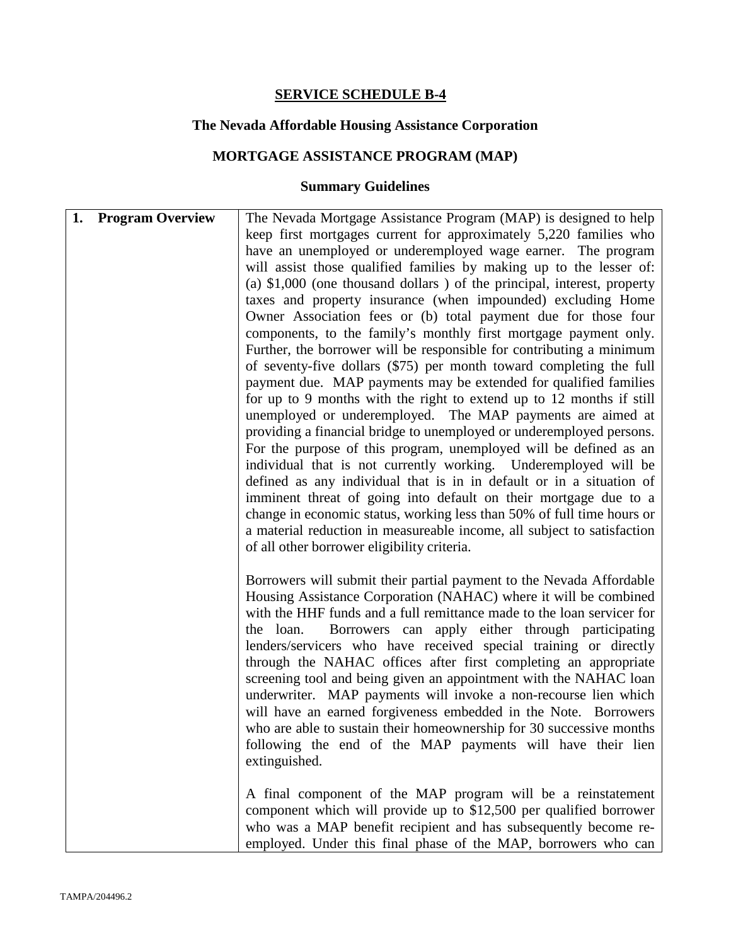## **The Nevada Affordable Housing Assistance Corporation**

# **MORTGAGE ASSISTANCE PROGRAM (MAP)**

| 1. Program Overview | The Nevada Mortgage Assistance Program (MAP) is designed to help         |
|---------------------|--------------------------------------------------------------------------|
|                     | keep first mortgages current for approximately 5,220 families who        |
|                     | have an unemployed or underemployed wage earner. The program             |
|                     | will assist those qualified families by making up to the lesser of:      |
|                     | (a) $$1,000$ (one thousand dollars) of the principal, interest, property |
|                     | taxes and property insurance (when impounded) excluding Home             |
|                     | Owner Association fees or (b) total payment due for those four           |
|                     | components, to the family's monthly first mortgage payment only.         |
|                     |                                                                          |
|                     | Further, the borrower will be responsible for contributing a minimum     |
|                     | of seventy-five dollars (\$75) per month toward completing the full      |
|                     | payment due. MAP payments may be extended for qualified families         |
|                     | for up to 9 months with the right to extend up to 12 months if still     |
|                     | unemployed or underemployed. The MAP payments are aimed at               |
|                     | providing a financial bridge to unemployed or underemployed persons.     |
|                     | For the purpose of this program, unemployed will be defined as an        |
|                     | individual that is not currently working. Underemployed will be          |
|                     | defined as any individual that is in in default or in a situation of     |
|                     | imminent threat of going into default on their mortgage due to a         |
|                     |                                                                          |
|                     | change in economic status, working less than 50% of full time hours or   |
|                     | a material reduction in measureable income, all subject to satisfaction  |
|                     | of all other borrower eligibility criteria.                              |
|                     | Borrowers will submit their partial payment to the Nevada Affordable     |
|                     |                                                                          |
|                     | Housing Assistance Corporation (NAHAC) where it will be combined         |
|                     | with the HHF funds and a full remittance made to the loan servicer for   |
|                     | Borrowers can apply either through participating<br>the loan.            |
|                     | lenders/servicers who have received special training or directly         |
|                     | through the NAHAC offices after first completing an appropriate          |
|                     | screening tool and being given an appointment with the NAHAC loan        |
|                     | underwriter. MAP payments will invoke a non-recourse lien which          |
|                     | will have an earned forgiveness embedded in the Note. Borrowers          |
|                     | who are able to sustain their homeownership for 30 successive months     |
|                     | following the end of the MAP payments will have their lien               |
|                     | extinguished.                                                            |
|                     |                                                                          |
|                     | A final component of the MAP program will be a reinstatement             |
|                     | component which will provide up to \$12,500 per qualified borrower       |
|                     | who was a MAP benefit recipient and has subsequently become re-          |
|                     |                                                                          |
|                     | employed. Under this final phase of the MAP, borrowers who can           |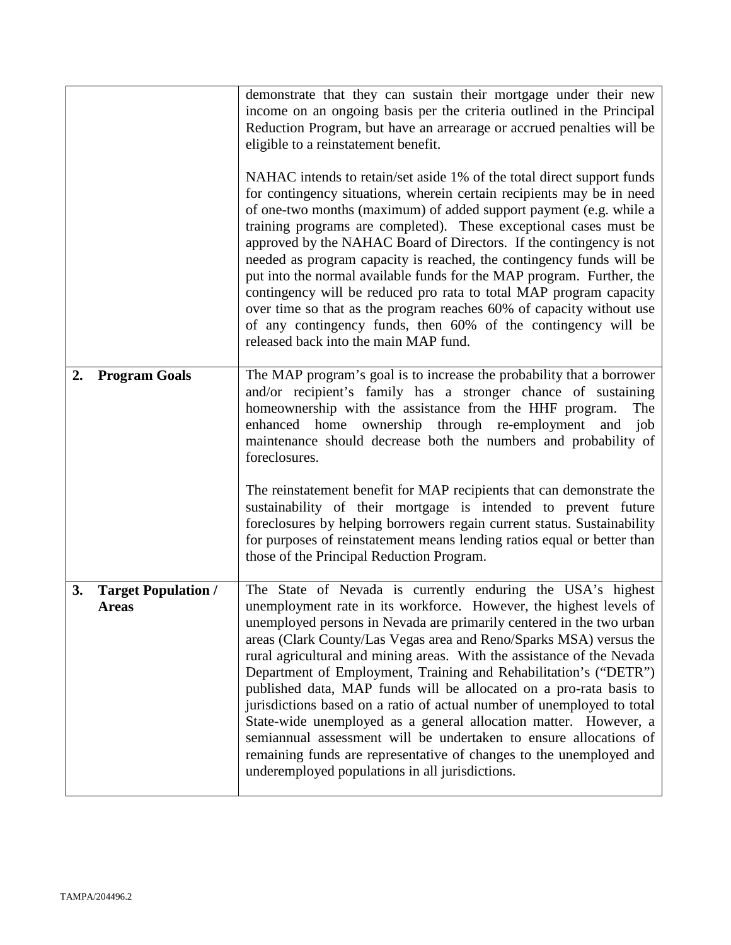|    |                                            | demonstrate that they can sustain their mortgage under their new<br>income on an ongoing basis per the criteria outlined in the Principal<br>Reduction Program, but have an arrearage or accrued penalties will be<br>eligible to a reinstatement benefit.<br>NAHAC intends to retain/set aside 1% of the total direct support funds<br>for contingency situations, wherein certain recipients may be in need<br>of one-two months (maximum) of added support payment (e.g. while a<br>training programs are completed). These exceptional cases must be<br>approved by the NAHAC Board of Directors. If the contingency is not<br>needed as program capacity is reached, the contingency funds will be<br>put into the normal available funds for the MAP program. Further, the<br>contingency will be reduced pro rata to total MAP program capacity<br>over time so that as the program reaches 60% of capacity without use<br>of any contingency funds, then 60% of the contingency will be<br>released back into the main MAP fund. |
|----|--------------------------------------------|------------------------------------------------------------------------------------------------------------------------------------------------------------------------------------------------------------------------------------------------------------------------------------------------------------------------------------------------------------------------------------------------------------------------------------------------------------------------------------------------------------------------------------------------------------------------------------------------------------------------------------------------------------------------------------------------------------------------------------------------------------------------------------------------------------------------------------------------------------------------------------------------------------------------------------------------------------------------------------------------------------------------------------------|
| 2. | <b>Program Goals</b>                       | The MAP program's goal is to increase the probability that a borrower<br>and/or recipient's family has a stronger chance of sustaining<br>homeownership with the assistance from the HHF program.<br>The<br>enhanced home ownership through re-employment and<br>job<br>maintenance should decrease both the numbers and probability of<br>foreclosures.<br>The reinstatement benefit for MAP recipients that can demonstrate the<br>sustainability of their mortgage is intended to prevent future<br>foreclosures by helping borrowers regain current status. Sustainability<br>for purposes of reinstatement means lending ratios equal or better than<br>those of the Principal Reduction Program.                                                                                                                                                                                                                                                                                                                                   |
| 3. | <b>Target Population /</b><br><b>Areas</b> | The State of Nevada is currently enduring the USA's highest<br>unemployment rate in its workforce. However, the highest levels of<br>unemployed persons in Nevada are primarily centered in the two urban<br>areas (Clark County/Las Vegas area and Reno/Sparks MSA) versus the<br>rural agricultural and mining areas. With the assistance of the Nevada<br>Department of Employment, Training and Rehabilitation's ("DETR")<br>published data, MAP funds will be allocated on a pro-rata basis to<br>jurisdictions based on a ratio of actual number of unemployed to total<br>State-wide unemployed as a general allocation matter. However, a<br>semiannual assessment will be undertaken to ensure allocations of<br>remaining funds are representative of changes to the unemployed and<br>underemployed populations in all jurisdictions.                                                                                                                                                                                         |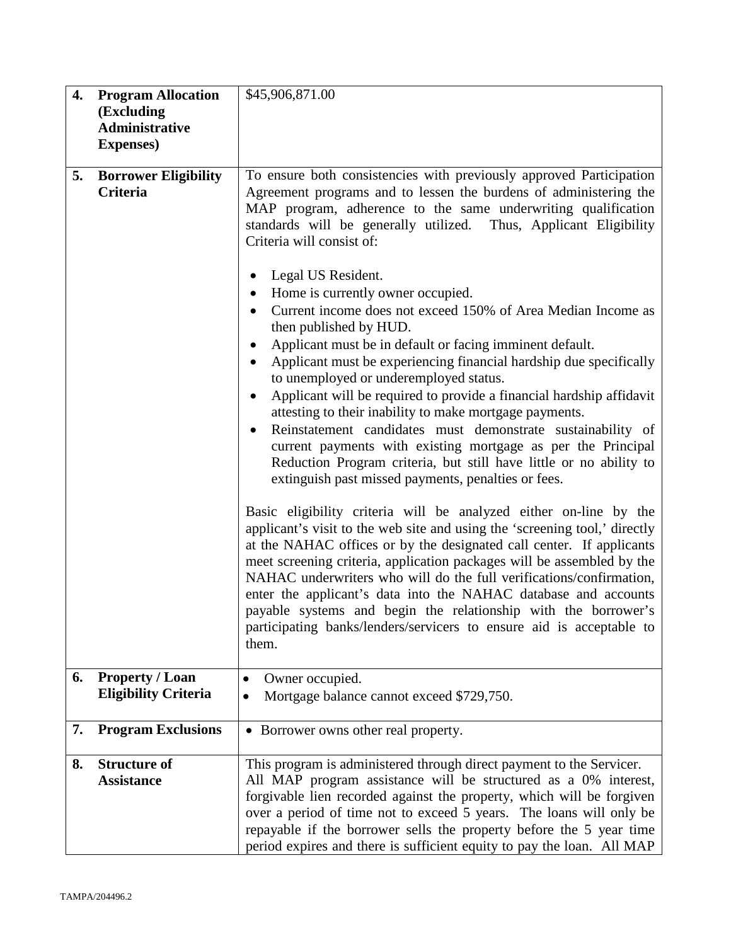| 4. | <b>Program Allocation</b>                             | \$45,906,871.00                                                                                                                                                                                                                                                                                                                                                                                                                                                                                                                                                                                |
|----|-------------------------------------------------------|------------------------------------------------------------------------------------------------------------------------------------------------------------------------------------------------------------------------------------------------------------------------------------------------------------------------------------------------------------------------------------------------------------------------------------------------------------------------------------------------------------------------------------------------------------------------------------------------|
|    | (Excluding                                            |                                                                                                                                                                                                                                                                                                                                                                                                                                                                                                                                                                                                |
|    | <b>Administrative</b>                                 |                                                                                                                                                                                                                                                                                                                                                                                                                                                                                                                                                                                                |
|    | <b>Expenses</b> )                                     |                                                                                                                                                                                                                                                                                                                                                                                                                                                                                                                                                                                                |
| 5. | <b>Borrower Eligibility</b>                           | To ensure both consistencies with previously approved Participation                                                                                                                                                                                                                                                                                                                                                                                                                                                                                                                            |
|    | Criteria                                              | Agreement programs and to lessen the burdens of administering the                                                                                                                                                                                                                                                                                                                                                                                                                                                                                                                              |
|    |                                                       | MAP program, adherence to the same underwriting qualification<br>standards will be generally utilized. Thus, Applicant Eligibility<br>Criteria will consist of:<br>Legal US Resident.<br>$\bullet$<br>Home is currently owner occupied.                                                                                                                                                                                                                                                                                                                                                        |
|    |                                                       | Current income does not exceed 150% of Area Median Income as<br>then published by HUD.                                                                                                                                                                                                                                                                                                                                                                                                                                                                                                         |
|    |                                                       | Applicant must be in default or facing imminent default.                                                                                                                                                                                                                                                                                                                                                                                                                                                                                                                                       |
|    |                                                       | Applicant must be experiencing financial hardship due specifically<br>$\bullet$<br>to unemployed or underemployed status.                                                                                                                                                                                                                                                                                                                                                                                                                                                                      |
|    |                                                       | Applicant will be required to provide a financial hardship affidavit<br>$\bullet$<br>attesting to their inability to make mortgage payments.<br>Reinstatement candidates must demonstrate sustainability of<br>current payments with existing mortgage as per the Principal<br>Reduction Program criteria, but still have little or no ability to<br>extinguish past missed payments, penalties or fees.                                                                                                                                                                                       |
|    |                                                       | Basic eligibility criteria will be analyzed either on-line by the<br>applicant's visit to the web site and using the 'screening tool,' directly<br>at the NAHAC offices or by the designated call center. If applicants<br>meet screening criteria, application packages will be assembled by the<br>NAHAC underwriters who will do the full verifications/confirmation,<br>enter the applicant's data into the NAHAC database and accounts<br>payable systems and begin the relationship with the borrower's<br>participating banks/lenders/servicers to ensure aid is acceptable to<br>them. |
| 6. | <b>Property / Loan</b><br><b>Eligibility Criteria</b> | Owner occupied.<br>Mortgage balance cannot exceed \$729,750.<br>$\bullet$                                                                                                                                                                                                                                                                                                                                                                                                                                                                                                                      |
| 7. | <b>Program Exclusions</b>                             | • Borrower owns other real property.                                                                                                                                                                                                                                                                                                                                                                                                                                                                                                                                                           |
| 8. | <b>Structure of</b><br><b>Assistance</b>              | This program is administered through direct payment to the Servicer.<br>All MAP program assistance will be structured as a 0% interest,<br>forgivable lien recorded against the property, which will be forgiven<br>over a period of time not to exceed 5 years. The loans will only be<br>repayable if the borrower sells the property before the 5 year time<br>period expires and there is sufficient equity to pay the loan. All MAP                                                                                                                                                       |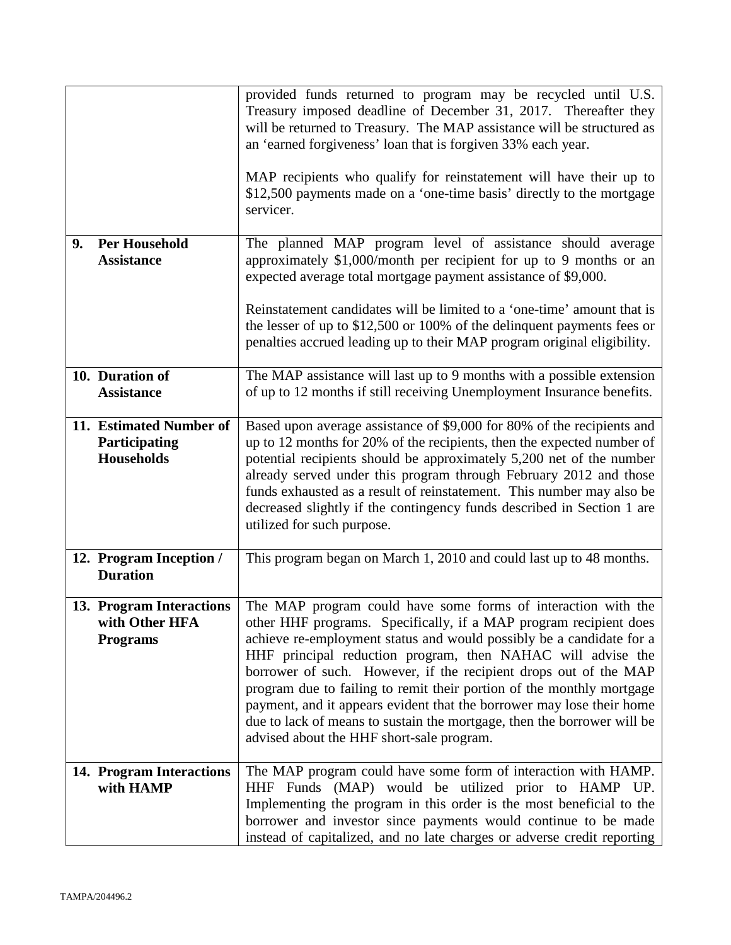|                                                               | provided funds returned to program may be recycled until U.S.<br>Treasury imposed deadline of December 31, 2017. Thereafter they<br>will be returned to Treasury. The MAP assistance will be structured as<br>an 'earned forgiveness' loan that is forgiven 33% each year.<br>MAP recipients who qualify for reinstatement will have their up to                                                                                                                                                                                                                                                                        |
|---------------------------------------------------------------|-------------------------------------------------------------------------------------------------------------------------------------------------------------------------------------------------------------------------------------------------------------------------------------------------------------------------------------------------------------------------------------------------------------------------------------------------------------------------------------------------------------------------------------------------------------------------------------------------------------------------|
|                                                               | \$12,500 payments made on a 'one-time basis' directly to the mortgage<br>servicer.                                                                                                                                                                                                                                                                                                                                                                                                                                                                                                                                      |
| <b>Per Household</b><br>9.<br><b>Assistance</b>               | The planned MAP program level of assistance should average<br>approximately \$1,000/month per recipient for up to 9 months or an<br>expected average total mortgage payment assistance of \$9,000.                                                                                                                                                                                                                                                                                                                                                                                                                      |
|                                                               | Reinstatement candidates will be limited to a 'one-time' amount that is<br>the lesser of up to $$12,500$ or 100% of the delinquent payments fees or<br>penalties accrued leading up to their MAP program original eligibility.                                                                                                                                                                                                                                                                                                                                                                                          |
| 10. Duration of<br><b>Assistance</b>                          | The MAP assistance will last up to 9 months with a possible extension<br>of up to 12 months if still receiving Unemployment Insurance benefits.                                                                                                                                                                                                                                                                                                                                                                                                                                                                         |
| 11. Estimated Number of<br>Participating<br><b>Households</b> | Based upon average assistance of \$9,000 for 80% of the recipients and<br>up to 12 months for 20% of the recipients, then the expected number of<br>potential recipients should be approximately 5,200 net of the number<br>already served under this program through February 2012 and those<br>funds exhausted as a result of reinstatement. This number may also be<br>decreased slightly if the contingency funds described in Section 1 are<br>utilized for such purpose.                                                                                                                                          |
| 12. Program Inception /<br><b>Duration</b>                    | This program began on March 1, 2010 and could last up to 48 months.                                                                                                                                                                                                                                                                                                                                                                                                                                                                                                                                                     |
| 13. Program Interactions<br>with Other HFA<br><b>Programs</b> | The MAP program could have some forms of interaction with the<br>other HHF programs. Specifically, if a MAP program recipient does<br>achieve re-employment status and would possibly be a candidate for a<br>HHF principal reduction program, then NAHAC will advise the<br>borrower of such. However, if the recipient drops out of the MAP<br>program due to failing to remit their portion of the monthly mortgage<br>payment, and it appears evident that the borrower may lose their home<br>due to lack of means to sustain the mortgage, then the borrower will be<br>advised about the HHF short-sale program. |
| 14. Program Interactions<br>with HAMP                         | The MAP program could have some form of interaction with HAMP.<br>HHF Funds (MAP) would be utilized prior to HAMP UP.<br>Implementing the program in this order is the most beneficial to the<br>borrower and investor since payments would continue to be made<br>instead of capitalized, and no late charges or adverse credit reporting                                                                                                                                                                                                                                                                              |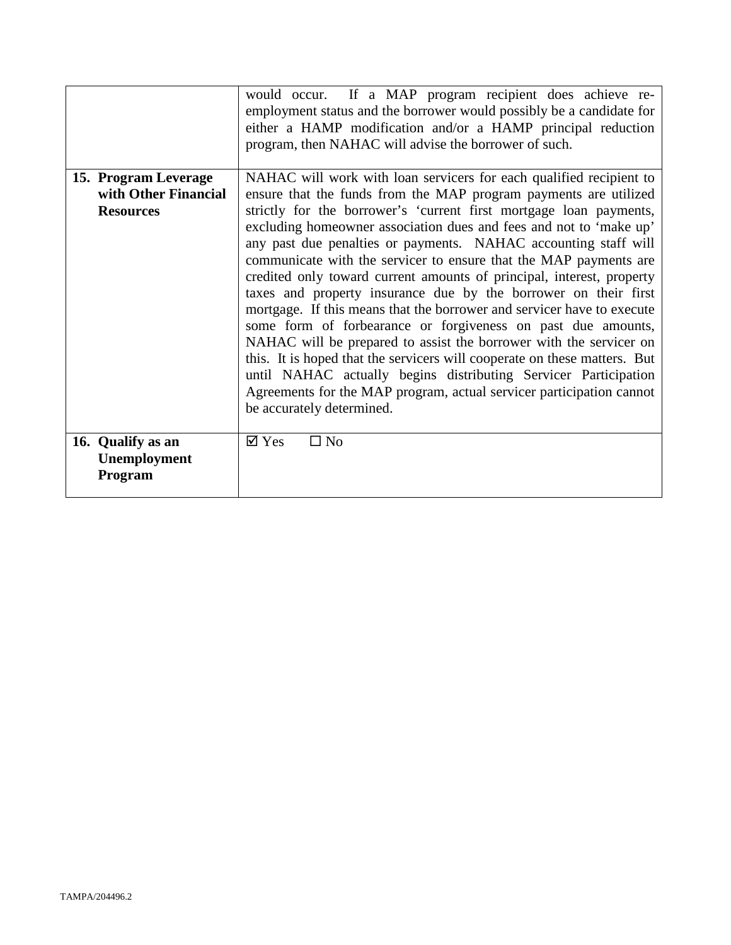|                                                                  | would occur. If a MAP program recipient does achieve re-<br>employment status and the borrower would possibly be a candidate for<br>either a HAMP modification and/or a HAMP principal reduction<br>program, then NAHAC will advise the borrower of such.                                                                                                                                                                                                                                                                                                                                                                                                                                                                                                                                                                                                                                                                                                                                                                                    |
|------------------------------------------------------------------|----------------------------------------------------------------------------------------------------------------------------------------------------------------------------------------------------------------------------------------------------------------------------------------------------------------------------------------------------------------------------------------------------------------------------------------------------------------------------------------------------------------------------------------------------------------------------------------------------------------------------------------------------------------------------------------------------------------------------------------------------------------------------------------------------------------------------------------------------------------------------------------------------------------------------------------------------------------------------------------------------------------------------------------------|
| 15. Program Leverage<br>with Other Financial<br><b>Resources</b> | NAHAC will work with loan servicers for each qualified recipient to<br>ensure that the funds from the MAP program payments are utilized<br>strictly for the borrower's 'current first mortgage loan payments,<br>excluding homeowner association dues and fees and not to 'make up'<br>any past due penalties or payments. NAHAC accounting staff will<br>communicate with the servicer to ensure that the MAP payments are<br>credited only toward current amounts of principal, interest, property<br>taxes and property insurance due by the borrower on their first<br>mortgage. If this means that the borrower and servicer have to execute<br>some form of forbearance or forgiveness on past due amounts,<br>NAHAC will be prepared to assist the borrower with the servicer on<br>this. It is hoped that the servicers will cooperate on these matters. But<br>until NAHAC actually begins distributing Servicer Participation<br>Agreements for the MAP program, actual servicer participation cannot<br>be accurately determined. |
| 16. Qualify as an<br>Unemployment<br>Program                     | $\boxtimes$ Yes<br>$\Box$ No                                                                                                                                                                                                                                                                                                                                                                                                                                                                                                                                                                                                                                                                                                                                                                                                                                                                                                                                                                                                                 |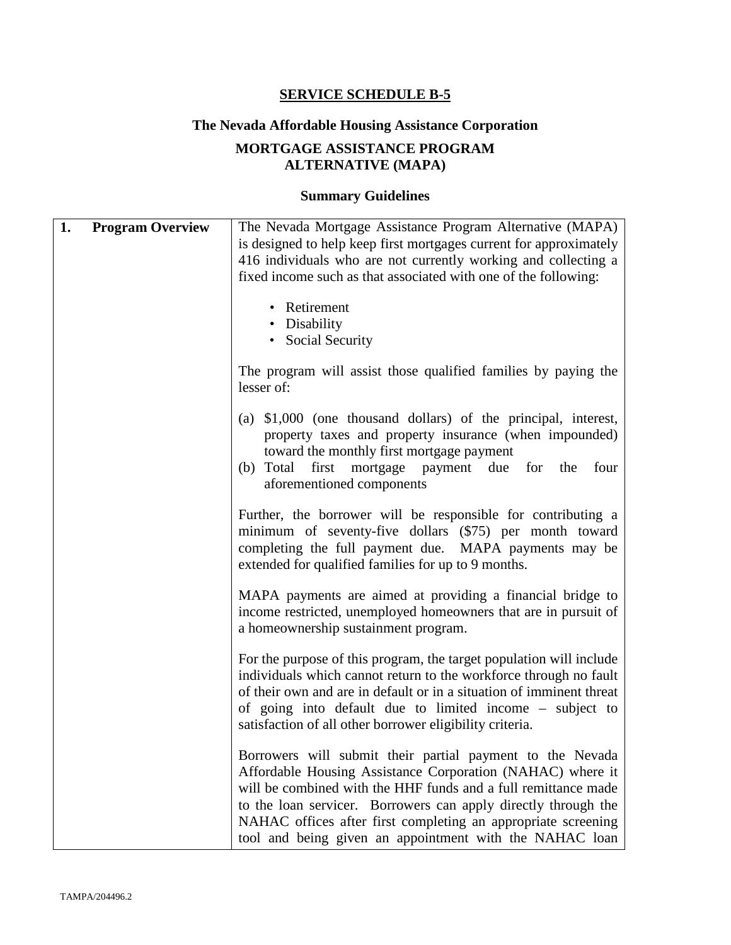## **The Nevada Affordable Housing Assistance Corporation**

# **MORTGAGE ASSISTANCE PROGRAM ALTERNATIVE (MAPA)**

| 1. | <b>Program Overview</b> | The Nevada Mortgage Assistance Program Alternative (MAPA)<br>is designed to help keep first mortgages current for approximately<br>416 individuals who are not currently working and collecting a<br>fixed income such as that associated with one of the following:                                                                                                                    |
|----|-------------------------|-----------------------------------------------------------------------------------------------------------------------------------------------------------------------------------------------------------------------------------------------------------------------------------------------------------------------------------------------------------------------------------------|
|    |                         | • Retirement<br>• Disability<br>• Social Security                                                                                                                                                                                                                                                                                                                                       |
|    |                         | The program will assist those qualified families by paying the<br>lesser of:                                                                                                                                                                                                                                                                                                            |
|    |                         | (a) $$1,000$ (one thousand dollars) of the principal, interest,<br>property taxes and property insurance (when impounded)<br>toward the monthly first mortgage payment<br>mortgage<br>(b) Total<br>first<br>payment due<br>four<br>for<br>the<br>aforementioned components                                                                                                              |
|    |                         | Further, the borrower will be responsible for contributing a<br>minimum of seventy-five dollars (\$75) per month toward<br>completing the full payment due. MAPA payments may be<br>extended for qualified families for up to 9 months.                                                                                                                                                 |
|    |                         | MAPA payments are aimed at providing a financial bridge to<br>income restricted, unemployed homeowners that are in pursuit of<br>a homeownership sustainment program.                                                                                                                                                                                                                   |
|    |                         | For the purpose of this program, the target population will include<br>individuals which cannot return to the workforce through no fault<br>of their own and are in default or in a situation of imminent threat<br>of going into default due to limited income – subject to<br>satisfaction of all other borrower eligibility criteria.                                                |
|    |                         | Borrowers will submit their partial payment to the Nevada<br>Affordable Housing Assistance Corporation (NAHAC) where it<br>will be combined with the HHF funds and a full remittance made<br>to the loan servicer. Borrowers can apply directly through the<br>NAHAC offices after first completing an appropriate screening<br>tool and being given an appointment with the NAHAC loan |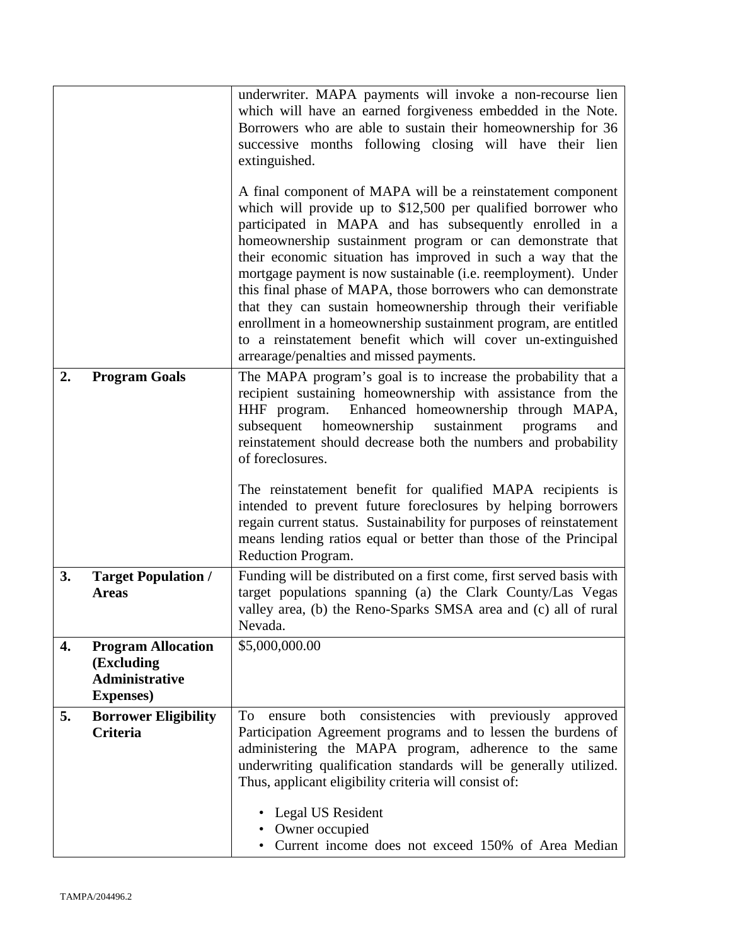|    |                                                                                       | underwriter. MAPA payments will invoke a non-recourse lien<br>which will have an earned forgiveness embedded in the Note.<br>Borrowers who are able to sustain their homeownership for 36<br>successive months following closing will have their lien<br>extinguished.                                                                                                                                                                                                                                                                                                                                                                                                                                |
|----|---------------------------------------------------------------------------------------|-------------------------------------------------------------------------------------------------------------------------------------------------------------------------------------------------------------------------------------------------------------------------------------------------------------------------------------------------------------------------------------------------------------------------------------------------------------------------------------------------------------------------------------------------------------------------------------------------------------------------------------------------------------------------------------------------------|
|    |                                                                                       | A final component of MAPA will be a reinstatement component<br>which will provide up to $$12,500$ per qualified borrower who<br>participated in MAPA and has subsequently enrolled in a<br>homeownership sustainment program or can demonstrate that<br>their economic situation has improved in such a way that the<br>mortgage payment is now sustainable (i.e. reemployment). Under<br>this final phase of MAPA, those borrowers who can demonstrate<br>that they can sustain homeownership through their verifiable<br>enrollment in a homeownership sustainment program, are entitled<br>to a reinstatement benefit which will cover un-extinguished<br>arrearage/penalties and missed payments. |
| 2. | <b>Program Goals</b>                                                                  | The MAPA program's goal is to increase the probability that a<br>recipient sustaining homeownership with assistance from the<br>Enhanced homeownership through MAPA,<br>HHF program.<br>subsequent<br>homeownership<br>sustainment<br>programs<br>and<br>reinstatement should decrease both the numbers and probability<br>of foreclosures.<br>The reinstatement benefit for qualified MAPA recipients is<br>intended to prevent future foreclosures by helping borrowers<br>regain current status. Sustainability for purposes of reinstatement<br>means lending ratios equal or better than those of the Principal<br>Reduction Program.                                                            |
| 3. | <b>Target Population /</b><br><b>Areas</b>                                            | Funding will be distributed on a first come, first served basis with<br>target populations spanning (a) the Clark County/Las Vegas<br>valley area, (b) the Reno-Sparks SMSA area and (c) all of rural<br>Nevada.                                                                                                                                                                                                                                                                                                                                                                                                                                                                                      |
| 4. | <b>Program Allocation</b><br>(Excluding<br><b>Administrative</b><br><b>Expenses</b> ) | \$5,000,000.00                                                                                                                                                                                                                                                                                                                                                                                                                                                                                                                                                                                                                                                                                        |
| 5. | <b>Borrower Eligibility</b><br>Criteria                                               | To<br>both<br>consistencies<br>with<br>previously<br>ensure<br>approved<br>Participation Agreement programs and to lessen the burdens of<br>administering the MAPA program, adherence to the same<br>underwriting qualification standards will be generally utilized.<br>Thus, applicant eligibility criteria will consist of:                                                                                                                                                                                                                                                                                                                                                                        |
|    |                                                                                       | Legal US Resident<br>Owner occupied<br>Current income does not exceed 150% of Area Median                                                                                                                                                                                                                                                                                                                                                                                                                                                                                                                                                                                                             |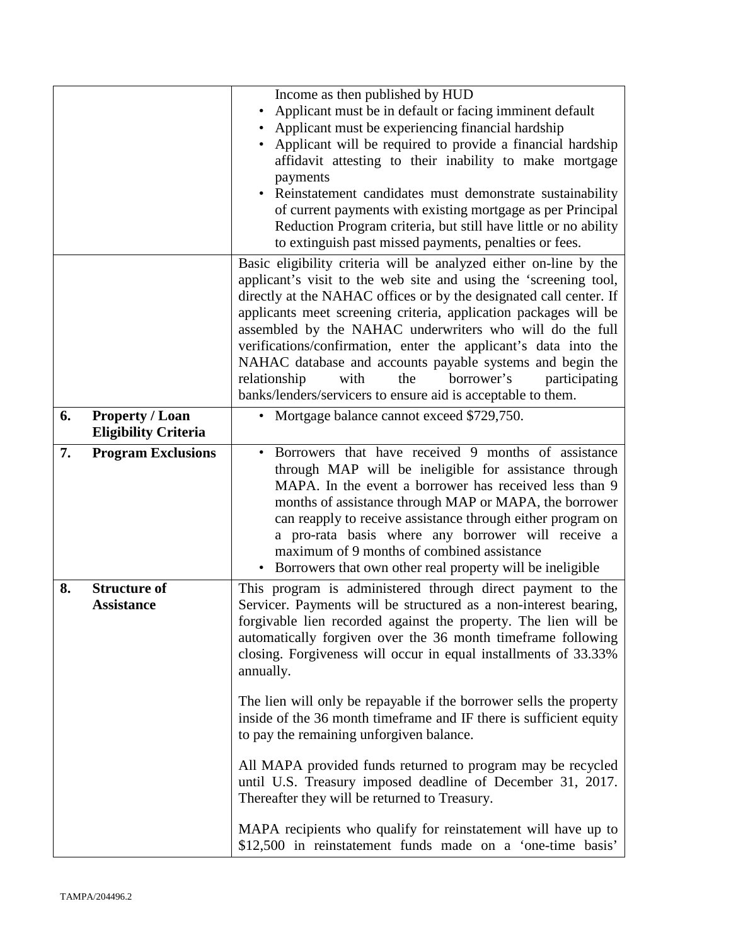|    |                                                       | Income as then published by HUD<br>Applicant must be in default or facing imminent default<br>Applicant must be experiencing financial hardship<br>Applicant will be required to provide a financial hardship<br>affidavit attesting to their inability to make mortgage<br>payments<br>Reinstatement candidates must demonstrate sustainability<br>of current payments with existing mortgage as per Principal<br>Reduction Program criteria, but still have little or no ability<br>to extinguish past missed payments, penalties or fees.                                                              |
|----|-------------------------------------------------------|-----------------------------------------------------------------------------------------------------------------------------------------------------------------------------------------------------------------------------------------------------------------------------------------------------------------------------------------------------------------------------------------------------------------------------------------------------------------------------------------------------------------------------------------------------------------------------------------------------------|
|    |                                                       | Basic eligibility criteria will be analyzed either on-line by the<br>applicant's visit to the web site and using the 'screening tool,<br>directly at the NAHAC offices or by the designated call center. If<br>applicants meet screening criteria, application packages will be<br>assembled by the NAHAC underwriters who will do the full<br>verifications/confirmation, enter the applicant's data into the<br>NAHAC database and accounts payable systems and begin the<br>relationship<br>borrower's<br>with<br>the<br>participating<br>banks/lenders/servicers to ensure aid is acceptable to them. |
| 6. | <b>Property / Loan</b><br><b>Eligibility Criteria</b> | Mortgage balance cannot exceed \$729,750.                                                                                                                                                                                                                                                                                                                                                                                                                                                                                                                                                                 |
| 7. | <b>Program Exclusions</b>                             | Borrowers that have received 9 months of assistance<br>through MAP will be ineligible for assistance through<br>MAPA. In the event a borrower has received less than 9<br>months of assistance through MAP or MAPA, the borrower<br>can reapply to receive assistance through either program on<br>a pro-rata basis where any borrower will receive a<br>maximum of 9 months of combined assistance<br>• Borrowers that own other real property will be ineligible                                                                                                                                        |
| 8. | <b>Structure of</b><br><b>Assistance</b>              | This program is administered through direct payment to the<br>Servicer. Payments will be structured as a non-interest bearing,<br>forgivable lien recorded against the property. The lien will be<br>automatically forgiven over the 36 month timeframe following<br>closing. Forgiveness will occur in equal installments of 33.33%<br>annually.                                                                                                                                                                                                                                                         |
|    |                                                       | The lien will only be repayable if the borrower sells the property<br>inside of the 36 month timeframe and IF there is sufficient equity<br>to pay the remaining unforgiven balance.                                                                                                                                                                                                                                                                                                                                                                                                                      |
|    |                                                       | All MAPA provided funds returned to program may be recycled<br>until U.S. Treasury imposed deadline of December 31, 2017.<br>Thereafter they will be returned to Treasury.                                                                                                                                                                                                                                                                                                                                                                                                                                |
|    |                                                       | MAPA recipients who qualify for reinstatement will have up to<br>\$12,500 in reinstatement funds made on a 'one-time basis'                                                                                                                                                                                                                                                                                                                                                                                                                                                                               |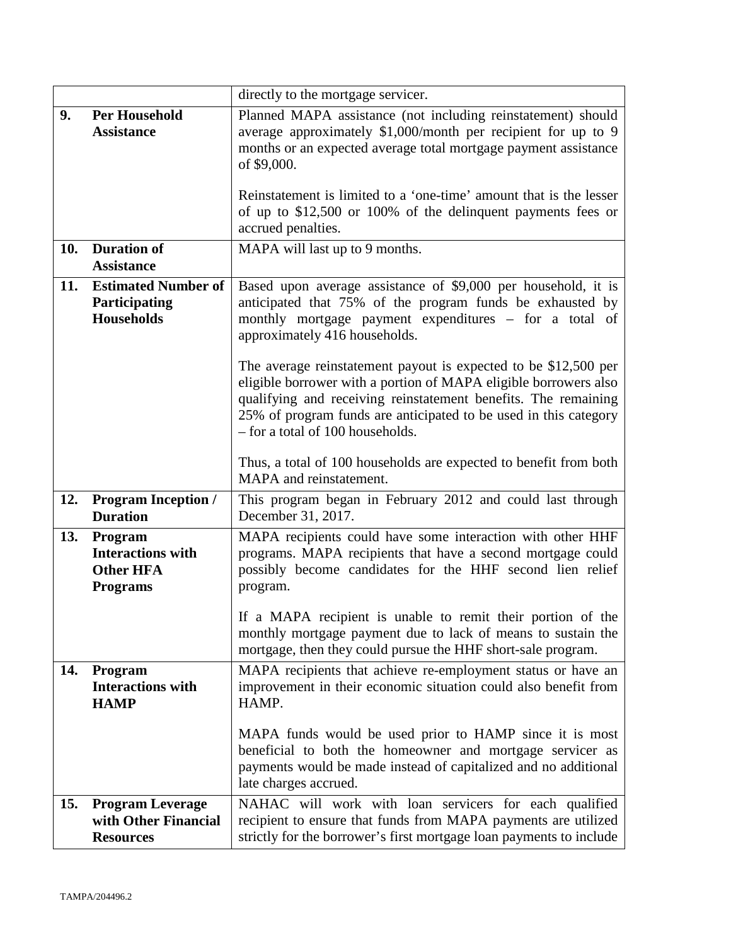|     |                                         | directly to the mortgage servicer.                                                           |
|-----|-----------------------------------------|----------------------------------------------------------------------------------------------|
| 9.  | <b>Per Household</b>                    | Planned MAPA assistance (not including reinstatement) should                                 |
|     | <b>Assistance</b>                       | average approximately \$1,000/month per recipient for up to 9                                |
|     |                                         | months or an expected average total mortgage payment assistance                              |
|     |                                         | of \$9,000.                                                                                  |
|     |                                         | Reinstatement is limited to a 'one-time' amount that is the lesser                           |
|     |                                         | of up to \$12,500 or 100% of the delinquent payments fees or                                 |
|     |                                         | accrued penalties.                                                                           |
|     |                                         |                                                                                              |
| 10. | <b>Duration of</b><br><b>Assistance</b> | MAPA will last up to 9 months.                                                               |
|     |                                         |                                                                                              |
| 11. | <b>Estimated Number of</b>              | Based upon average assistance of \$9,000 per household, it is                                |
|     | Participating<br>Households             | anticipated that 75% of the program funds be exhausted by                                    |
|     |                                         | monthly mortgage payment expenditures - for a total of<br>approximately 416 households.      |
|     |                                         |                                                                                              |
|     |                                         | The average reinstatement payout is expected to be \$12,500 per                              |
|     |                                         | eligible borrower with a portion of MAPA eligible borrowers also                             |
|     |                                         | qualifying and receiving reinstatement benefits. The remaining                               |
|     |                                         | 25% of program funds are anticipated to be used in this category                             |
|     |                                         | - for a total of 100 households.                                                             |
|     |                                         |                                                                                              |
|     |                                         | Thus, a total of 100 households are expected to benefit from both<br>MAPA and reinstatement. |
|     |                                         |                                                                                              |
| 12. | <b>Program Inception /</b>              | This program began in February 2012 and could last through                                   |
|     | <b>Duration</b>                         | December 31, 2017.                                                                           |
| 13. | Program                                 | MAPA recipients could have some interaction with other HHF                                   |
|     | <b>Interactions with</b>                | programs. MAPA recipients that have a second mortgage could                                  |
|     | <b>Other HFA</b>                        | possibly become candidates for the HHF second lien relief                                    |
|     | <b>Programs</b>                         | program.                                                                                     |
|     |                                         | If a MAPA recipient is unable to remit their portion of the                                  |
|     |                                         | monthly mortgage payment due to lack of means to sustain the                                 |
|     |                                         | mortgage, then they could pursue the HHF short-sale program.                                 |
| 14. | Program                                 | MAPA recipients that achieve re-employment status or have an                                 |
|     | <b>Interactions with</b>                | improvement in their economic situation could also benefit from                              |
|     | <b>HAMP</b>                             | HAMP.                                                                                        |
|     |                                         |                                                                                              |
|     |                                         | MAPA funds would be used prior to HAMP since it is most                                      |
|     |                                         | beneficial to both the homeowner and mortgage servicer as                                    |
|     |                                         | payments would be made instead of capitalized and no additional                              |
|     |                                         | late charges accrued.                                                                        |
| 15. | <b>Program Leverage</b>                 | NAHAC will work with loan servicers for each qualified                                       |
|     | with Other Financial                    | recipient to ensure that funds from MAPA payments are utilized                               |
|     | <b>Resources</b>                        | strictly for the borrower's first mortgage loan payments to include                          |